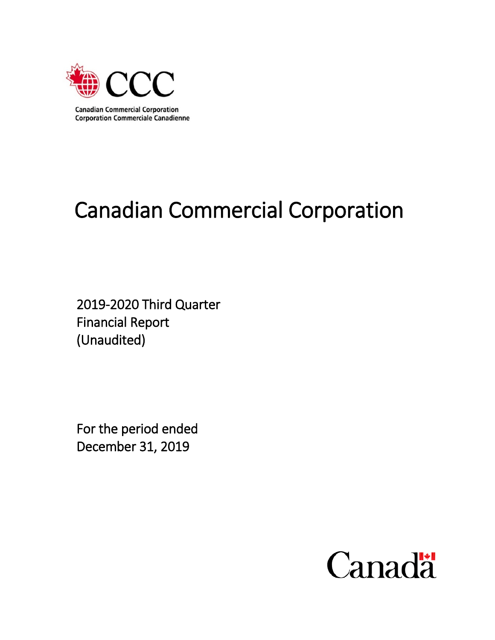

# Canadian Commercial Corporation

2019-2020 Third Quarter Financial Report (Unaudited)

For the period ended December 31, 2019

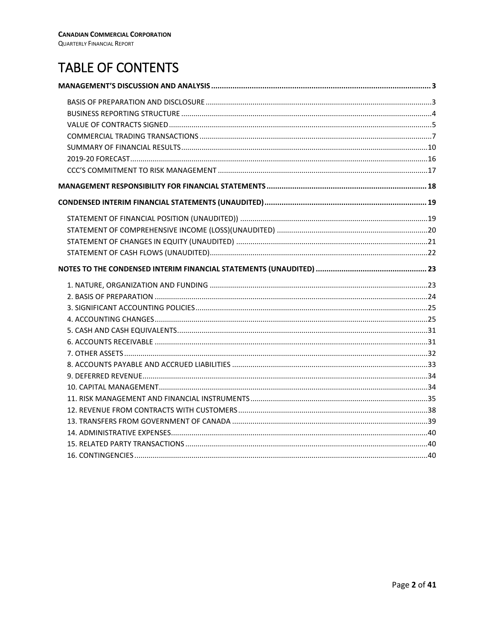# TABLE OF CONTENTS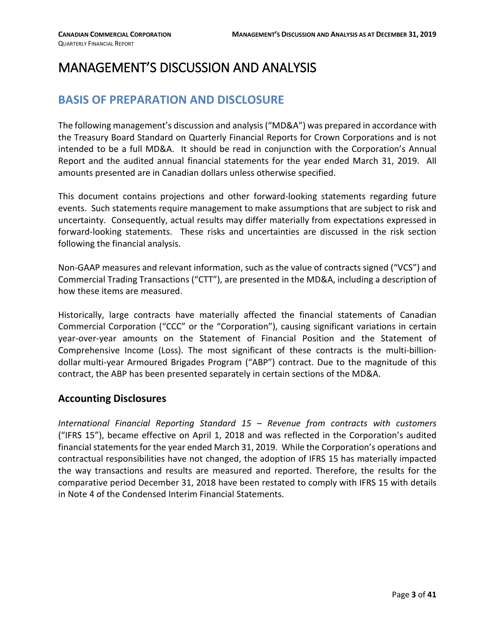# <span id="page-2-1"></span><span id="page-2-0"></span>MANAGEMENT'S DISCUSSION AND ANALYSIS

# **BASIS OF PREPARATION AND DISCLOSURE**

The following management's discussion and analysis ("MD&A") was prepared in accordance with the Treasury Board Standard on Quarterly Financial Reports for Crown Corporations and is not intended to be a full MD&A. It should be read in conjunction with the Corporation's Annual Report and the audited annual financial statements for the year ended March 31, 2019. All amounts presented are in Canadian dollars unless otherwise specified.

This document contains projections and other forward-looking statements regarding future events. Such statements require management to make assumptions that are subject to risk and uncertainty. Consequently, actual results may differ materially from expectations expressed in forward-looking statements. These risks and uncertainties are discussed in the risk section following the financial analysis.

Non-GAAP measures and relevant information, such as the value of contracts signed ("VCS") and Commercial Trading Transactions ("CTT"), are presented in the MD&A, including a description of how these items are measured.

Historically, large contracts have materially affected the financial statements of Canadian Commercial Corporation ("CCC" or the "Corporation"), causing significant variations in certain year-over-year amounts on the Statement of Financial Position and the Statement of Comprehensive Income (Loss). The most significant of these contracts is the multi-billiondollar multi-year Armoured Brigades Program ("ABP") contract. Due to the magnitude of this contract, the ABP has been presented separately in certain sections of the MD&A.

### **Accounting Disclosures**

*International Financial Reporting Standard 15 – Revenue from contracts with customers* ("IFRS 15"), became effective on April 1, 2018 and was reflected in the Corporation's audited financial statements for the year ended March 31, 2019. While the Corporation's operations and contractual responsibilities have not changed, the adoption of IFRS 15 has materially impacted the way transactions and results are measured and reported. Therefore, the results for the comparative period December 31, 2018 have been restated to comply with IFRS 15 with details in Note 4 of the Condensed Interim Financial Statements.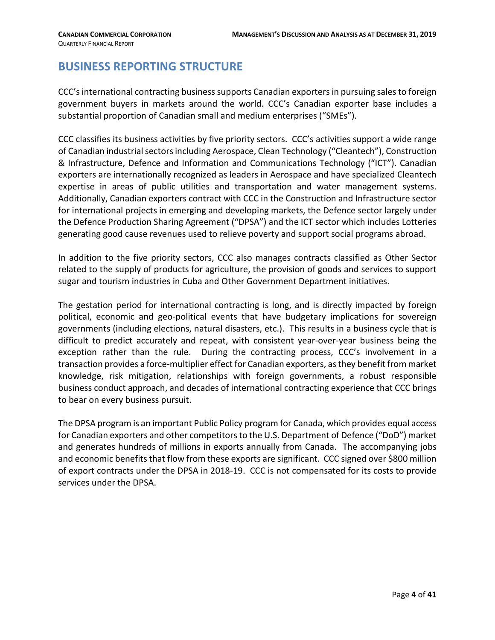### <span id="page-3-0"></span>**BUSINESS REPORTING STRUCTURE**

CCC's international contracting business supports Canadian exporters in pursuing sales to foreign government buyers in markets around the world. CCC's Canadian exporter base includes a substantial proportion of Canadian small and medium enterprises ("SMEs").

CCC classifies its business activities by five priority sectors. CCC's activities support a wide range of Canadian industrial sectors including Aerospace, Clean Technology ("Cleantech"), Construction & Infrastructure, Defence and Information and Communications Technology ("ICT"). Canadian exporters are internationally recognized as leaders in Aerospace and have specialized Cleantech expertise in areas of public utilities and transportation and water management systems. Additionally, Canadian exporters contract with CCC in the Construction and Infrastructure sector for international projects in emerging and developing markets, the Defence sector largely under the Defence Production Sharing Agreement ("DPSA") and the ICT sector which includes Lotteries generating good cause revenues used to relieve poverty and support social programs abroad.

In addition to the five priority sectors, CCC also manages contracts classified as Other Sector related to the supply of products for agriculture, the provision of goods and services to support sugar and tourism industries in Cuba and Other Government Department initiatives.

The gestation period for international contracting is long, and is directly impacted by foreign political, economic and geo-political events that have budgetary implications for sovereign governments (including elections, natural disasters, etc.). This results in a business cycle that is difficult to predict accurately and repeat, with consistent year-over-year business being the exception rather than the rule. During the contracting process, CCC's involvement in a transaction provides a force-multiplier effect for Canadian exporters, as they benefit from market knowledge, risk mitigation, relationships with foreign governments, a robust responsible business conduct approach, and decades of international contracting experience that CCC brings to bear on every business pursuit.

The DPSA program is an important Public Policy program for Canada, which provides equal access for Canadian exporters and other competitors to the U.S. Department of Defence ("DoD") market and generates hundreds of millions in exports annually from Canada. The accompanying jobs and economic benefits that flow from these exports are significant. CCC signed over \$800 million of export contracts under the DPSA in 2018-19. CCC is not compensated for its costs to provide services under the DPSA.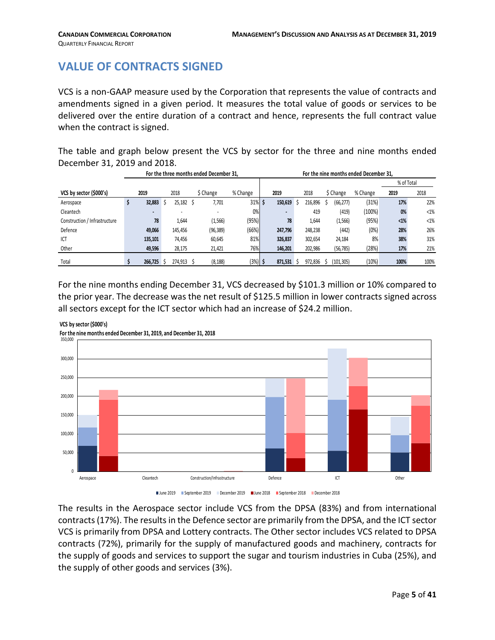# <span id="page-4-0"></span>**VALUE OF CONTRACTS SIGNED**

VCS is a non-GAAP measure used by the Corporation that represents the value of contracts and amendments signed in a given period. It measures the total value of goods or services to be delivered over the entire duration of a contract and hence, represents the full contract value when the contract is signed.

The table and graph below present the VCS by sector for the three and nine months ended December 31, 2019 and 2018.

|                               |         |                          | For the three months ended December 31. |           |         |    |         |            | For the nine months ended December 31, |            |        |
|-------------------------------|---------|--------------------------|-----------------------------------------|-----------|---------|----|---------|------------|----------------------------------------|------------|--------|
|                               |         |                          |                                         |           |         |    |         |            |                                        | % of Total |        |
| VCS by sector (\$000's)       | 2019    | 2018                     | \$ Change                               | % Change  | 2019    |    | 2018    | \$ Change  | % Change                               | 2019       | 2018   |
| Aerospace                     | 32,883  | 25,182                   | 7,701                                   | $31\%$ \$ | 150,619 |    | 216,896 | (66, 277)  | (31%)                                  | 17%        | 22%    |
| Cleantech                     | . .     | $\overline{\phantom{0}}$ |                                         | 0%        |         |    | 419     | (419)      | (100%)                                 | 0%         | $<1\%$ |
| Construction / Infrastructure | 78      | 1,644                    | (1, 566)                                | (95%)     | 78      |    | 1.644   | (1, 566)   | (95%)                                  | $< 1\%$    | $<1\%$ |
| Defence                       | 49,066  | 145,456                  | (96, 389)                               | (66%)     | 247.796 |    | 248,238 | (442)      | (0%)                                   | 28%        | 26%    |
| ICT                           | 135,101 | 74,456                   | 60,645                                  | 81%       | 326.837 |    | 302,654 | 24,184     | 8%                                     | 38%        | 31%    |
| Other                         | 49,596  | 28,175                   | 21,421                                  | 76%       | 146.201 |    | 202,986 | (56, 785)  | (28%)                                  | 17%        | 21%    |
| Total                         | 266.725 | 274.913                  | (8, 188)                                | $(3%)$ \$ | 871.531 | 5. | 972.836 | (101, 305) | (10%)                                  | 100%       | 100%   |

For the nine months ending December 31, VCS decreased by \$101.3 million or 10% compared to the prior year. The decrease was the net result of \$125.5 million in lower contracts signed across all sectors except for the ICT sector which had an increase of \$24.2 million.



**VCS by sector (\$000's) For the nine months ended December 31, 2019, and December 31, 2018**

The results in the Aerospace sector include VCS from the DPSA (83%) and from international contracts(17%). The results in the Defence sector are primarily from the DPSA, and the ICT sector VCS is primarily from DPSA and Lottery contracts. The Other sector includes VCS related to DPSA contracts (72%), primarily for the supply of manufactured goods and machinery, contracts for the supply of goods and services to support the sugar and tourism industries in Cuba (25%), and the supply of other goods and services (3%).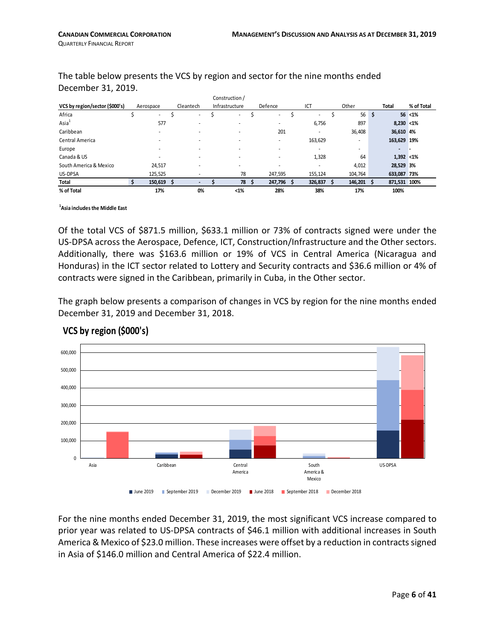|                                |            |           | Construction / |                          |                          |         |               |            |
|--------------------------------|------------|-----------|----------------|--------------------------|--------------------------|---------|---------------|------------|
| VCS by region/sector (\$000's) | Aerospace  | Cleantech | Infrastructure | Defence                  | ICT                      | Other   | <b>Total</b>  | % of Total |
| Africa                         | ٠          |           | $\sim$         | $\overline{\phantom{a}}$ | $\overline{\phantom{a}}$ | 56      | \$            | $56$ <1%   |
| Asia <sup>1</sup>              | 577        | ۰         |                | $\overline{\phantom{a}}$ | 6,756                    | 897     | $8,230 < 1\%$ |            |
| Caribbean                      |            |           |                | 201                      | $\overline{a}$           | 36,408  | 36,610 4%     |            |
| Central America                |            |           |                | $\overline{\phantom{a}}$ | 163,629                  | ٠       | 163,629 19%   |            |
| Europe                         |            |           |                |                          | $\overline{\phantom{a}}$ | ٠       | -             |            |
| Canada & US                    |            |           |                | $\overline{\phantom{a}}$ | 1,328                    | 64      | $1,392 < 1\%$ |            |
| South America & Mexico         | 24.517     | ۰         |                |                          | $\overline{\phantom{a}}$ | 4,012   | 28,529 3%     |            |
| US-DPSA                        | 125,525    |           | 78             | 247,595                  | 155,124                  | 104,764 | 633,087 73%   |            |
| Total                          | 150,619 \$ |           | 78             | 247,796                  | 326,837                  | 146,201 | 871,531 100%  |            |
| % of Total                     | 17%        | 0%        | $1%$           | 28%                      | 38%                      | 17%     | 100%          |            |

The table below presents the VCS by region and sector for the nine months ended December 31, 2019.

Construction /

#### **1 Asia includes the Middle East**

Of the total VCS of \$871.5 million, \$633.1 million or 73% of contracts signed were under the US-DPSA across the Aerospace, Defence, ICT, Construction/Infrastructure and the Other sectors. Additionally, there was \$163.6 million or 19% of VCS in Central America (Nicaragua and Honduras) in the ICT sector related to Lottery and Security contracts and \$36.6 million or 4% of contracts were signed in the Caribbean, primarily in Cuba, in the Other sector.

The graph below presents a comparison of changes in VCS by region for the nine months ended December 31, 2019 and December 31, 2018.



#### **VCS by region (\$000's)**

For the nine months ended December 31, 2019, the most significant VCS increase compared to prior year was related to US-DPSA contracts of \$46.1 million with additional increases in South America & Mexico of \$23.0 million. These increases were offset by a reduction in contracts signed in Asia of \$146.0 million and Central America of \$22.4 million.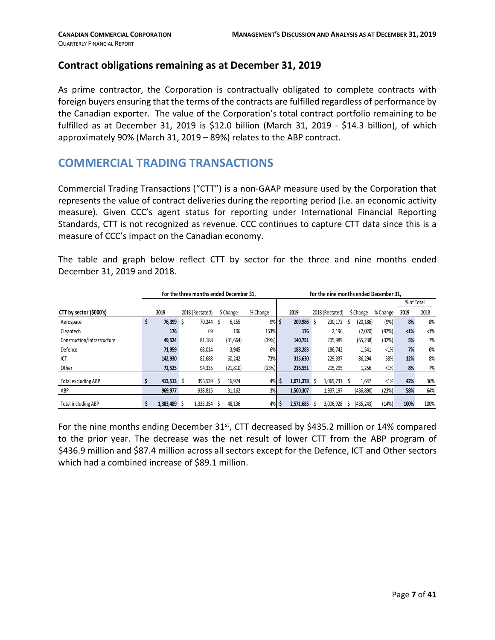#### **Contract obligations remaining as at December 31, 2019**

As prime contractor, the Corporation is contractually obligated to complete contracts with foreign buyers ensuring that the terms of the contracts are fulfilled regardless of performance by the Canadian exporter. The value of the Corporation's total contract portfolio remaining to be fulfilled as at December 31, 2019 is \$12.0 billion (March 31, 2019 - \$14.3 billion), of which approximately 90% (March 31, 2019 – 89%) relates to the ABP contract.

# <span id="page-6-0"></span>**COMMERCIAL TRADING TRANSACTIONS**

Commercial Trading Transactions ("CTT") is a non-GAAP measure used by the Corporation that represents the value of contract deliveries during the reporting period (i.e. an economic activity measure). Given CCC's agent status for reporting under International Financial Reporting Standards, CTT is not recognized as revenue. CCC continues to capture CTT data since this is a measure of CCC's impact on the Canadian economy.

The table and graph below reflect CTT by sector for the three and nine months ended December 31, 2019 and 2018.

|                             |              | For the three months ended December 31, |   |           |          |           | For the nine months ended December 31. |   |            |          |            |         |
|-----------------------------|--------------|-----------------------------------------|---|-----------|----------|-----------|----------------------------------------|---|------------|----------|------------|---------|
|                             |              |                                         |   |           |          |           |                                        |   |            |          | % of Total |         |
| CTT by sector (\$000's)     | 2019         | 2018 (Restated)                         |   | \$ Change | % Change | 2019      | 2018 (Restated)                        |   | \$ Change  | % Change | 2019       | 2018    |
| Aerospace                   | \$<br>76,399 | 70,244                                  | S | 6,155     | $9%$ \$  | 209,986   | 230,172                                |   | (20, 186)  | (9%)     | 8%         | 8%      |
| Cleantech                   | 176          | 69                                      |   | 106       | 153%     | 176       | 2,196                                  |   | (2,020)    | (92%)    | $<1\%$     | $< 1\%$ |
| Construction/Infrastructure | 49,524       | 81,188                                  |   | (31, 664) | (39%)    | 140,751   | 205,989                                |   | (65, 238)  | (32%)    | 5%         | 7%      |
| Defence                     | 71,959       | 68,014                                  |   | 3,945     | 6%       | 188,283   | 186,742                                |   | 1,541      | $< 1\%$  | 7%         | 6%      |
| ICT                         | 142,930      | 82,688                                  |   | 60,242    | 73%      | 315.630   | 229,337                                |   | 86,294     | 38%      | 12%        | 8%      |
| Other                       | 72,525       | 94,335                                  |   | (21, 810) | (23%)    | 216,551   | 215,295                                |   | 1,256      | $< 1\%$  | 8%         | 7%      |
| <b>Total excluding ABP</b>  | 413,513      | 396,539                                 |   | 16,974    | $4\%$ \$ | 1,071,378 | 1,069,731                              |   | 1,647      | $<1\%$   | 42%        | 36%     |
| ABP                         | 969,977      | 938,815                                 |   | 31,162    | 3%       | 1,500,307 | 1,937,197                              |   | (436, 890) | (23%)    | 58%        | 64%     |
| <b>Total including ABP</b>  | 1,383,489    | 1,335,354 \$                            |   | 48,136    | 4%       | 2,571,685 | 3,006,928                              | S | (435, 243) | (14%)    | 100%       | 100%    |

For the nine months ending December  $31^{st}$ , CTT decreased by \$435.2 million or 14% compared to the prior year. The decrease was the net result of lower CTT from the ABP program of \$436.9 million and \$87.4 million across all sectors except for the Defence, ICT and Other sectors which had a combined increase of \$89.1 million.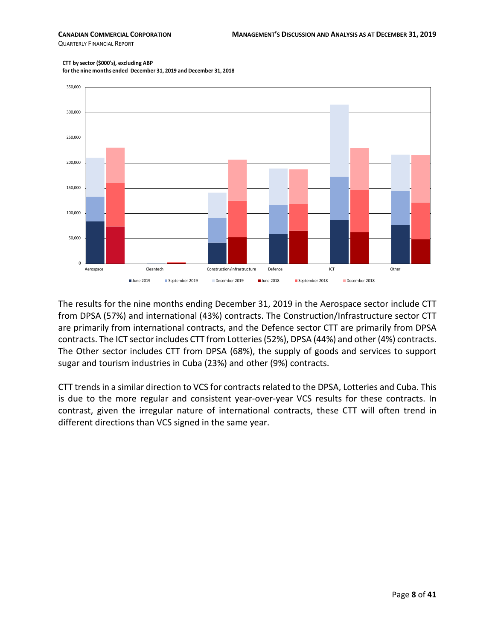QUARTERLY FINANCIAL REPORT

#### **CTT by sector (\$000's), excluding ABP**

**for the nine months ended December 31, 2019 and December 31, 2018**



The results for the nine months ending December 31, 2019 in the Aerospace sector include CTT from DPSA (57%) and international (43%) contracts. The Construction/Infrastructure sector CTT are primarily from international contracts, and the Defence sector CTT are primarily from DPSA contracts. The ICT sector includes CTT from Lotteries(52%), DPSA (44%) and other (4%) contracts. The Other sector includes CTT from DPSA (68%), the supply of goods and services to support sugar and tourism industries in Cuba (23%) and other (9%) contracts.

CTT trends in a similar direction to VCS for contracts related to the DPSA, Lotteries and Cuba. This is due to the more regular and consistent year-over-year VCS results for these contracts. In contrast, given the irregular nature of international contracts, these CTT will often trend in different directions than VCS signed in the same year.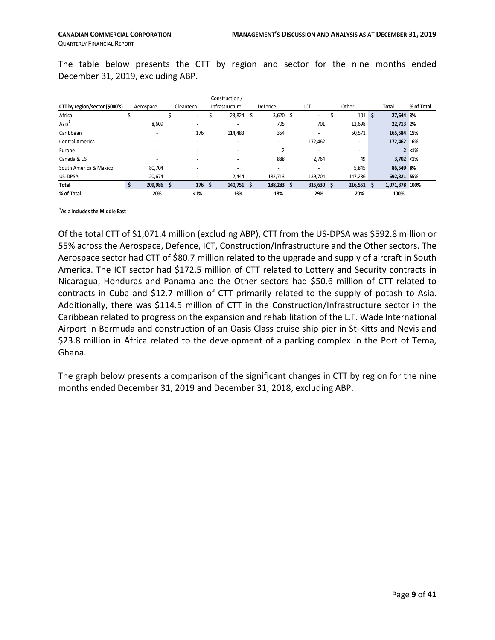The table below presents the CTT by region and sector for the nine months ended December 31, 2019, excluding ABP.

|                                |           |                          | Construction /           |   |                |         |         |   |                |            |
|--------------------------------|-----------|--------------------------|--------------------------|---|----------------|---------|---------|---|----------------|------------|
| CTT by region/sector (\$000's) | Aerospace | Cleantech                | Infrastructure           |   | Defence        | ICT     | Other   |   | Total          | % of Total |
| Africa                         | $\sim$    | $\sim$                   | 23,824                   | S | $3,620$ \$     | ٠       | 101     | s | 27,544 3%      |            |
| Asia <sup>1</sup>              | 8,609     | $\overline{a}$           | $\overline{\phantom{a}}$ |   | 705            | 701     | 12,698  |   | 22,713 2%      |            |
| Caribbean                      |           | 176                      | 114,483                  |   | 354            | ٠       | 50,571  |   | 165,584 15%    |            |
| Central America                |           |                          | $\overline{\phantom{a}}$ |   | -              | 172,462 | -       |   | 172,462 16%    |            |
| Europe                         |           | $\overline{\phantom{a}}$ | $\overline{\phantom{a}}$ |   | $\overline{2}$ | ۰       | ٠       |   |                | $2 < 1\%$  |
| Canada & US                    |           | $\overline{a}$           | $\overline{\phantom{a}}$ |   | 888            | 2,764   | 49      |   | $3,702 < 1\%$  |            |
| South America & Mexico         | 80,704    | $\overline{a}$           | $\overline{\phantom{a}}$ |   | -              | -       | 5,845   |   | 86,549 8%      |            |
| US-DPSA                        | 120,674   |                          | 2,444                    |   | 182,713        | 139,704 | 147,286 |   | 592,821 55%    |            |
| Total                          | 209,986   | 176                      | 140,751                  |   | 188,283        | 315,630 | 216,551 |   | 1,071,378 100% |            |
| % of Total                     | 20%       | <1%                      | 13%                      |   | 18%            | 29%     | 20%     |   | 100%           |            |

#### **1 Asia includes the Middle East**

Of the total CTT of \$1,071.4 million (excluding ABP), CTT from the US-DPSA was \$592.8 million or 55% across the Aerospace, Defence, ICT, Construction/Infrastructure and the Other sectors. The Aerospace sector had CTT of \$80.7 million related to the upgrade and supply of aircraft in South America. The ICT sector had \$172.5 million of CTT related to Lottery and Security contracts in Nicaragua, Honduras and Panama and the Other sectors had \$50.6 million of CTT related to contracts in Cuba and \$12.7 million of CTT primarily related to the supply of potash to Asia. Additionally, there was \$114.5 million of CTT in the Construction/Infrastructure sector in the Caribbean related to progress on the expansion and rehabilitation of the L.F. Wade International Airport in Bermuda and construction of an Oasis Class cruise ship pier in St-Kitts and Nevis and \$23.8 million in Africa related to the development of a parking complex in the Port of Tema, Ghana.

The graph below presents a comparison of the significant changes in CTT by region for the nine months ended December 31, 2019 and December 31, 2018, excluding ABP.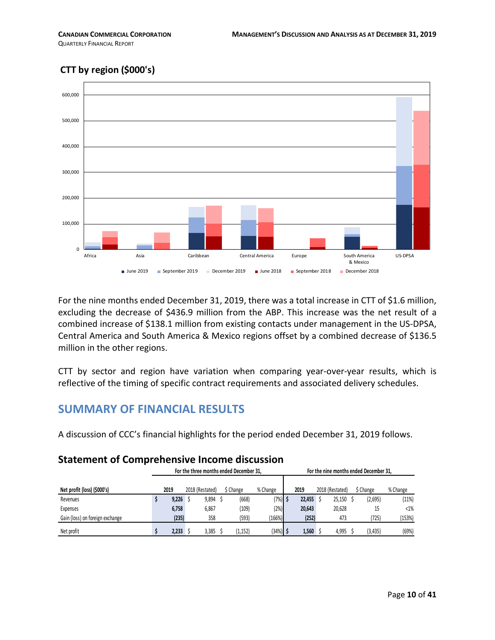### **CTT by region (\$000's)**



For the nine months ended December 31, 2019, there was a total increase in CTT of \$1.6 million, excluding the decrease of \$436.9 million from the ABP. This increase was the net result of a combined increase of \$138.1 million from existing contacts under management in the US-DPSA, Central America and South America & Mexico regions offset by a combined decrease of \$136.5 million in the other regions.

CTT by sector and region have variation when comparing year-over-year results, which is reflective of the timing of specific contract requirements and associated delivery schedules.

### <span id="page-9-0"></span>**SUMMARY OF FINANCIAL RESULTS**

A discussion of CCC's financial highlights for the period ended December 31, 2019 follows.

#### **Statement of Comprehensive Income discussion**

|                                 |       |                 | For the three months ended December 31. |          |        |                 | For the nine months ended December 31. |          |
|---------------------------------|-------|-----------------|-----------------------------------------|----------|--------|-----------------|----------------------------------------|----------|
|                                 |       |                 |                                         |          |        |                 |                                        |          |
| Net profit (loss) (\$000's)     | 2019  | 2018 (Restated) | \$ Change                               | % Change | 2019   | 2018 (Restated) | S Change                               | % Change |
| Revenues                        | 9.226 | 9.894           | (668)                                   | (7%)     | 22.455 | 25.150          | (2,695)                                | (11%)    |
| Expenses                        | 6,758 | 6.867           | (109)                                   | (2%)     | 20.643 | 20.628          |                                        | $< 1\%$  |
| Gain (loss) on foreign exchange | (235) | 358             | (593)                                   | 166%)    | (252)  | 473             | (725)                                  | (153%)   |
| Net profit                      | 2.233 | 3.385           | (1, 152)                                | (34%)    | 1,560  | 4.995           | (3, 435)                               | (69%)    |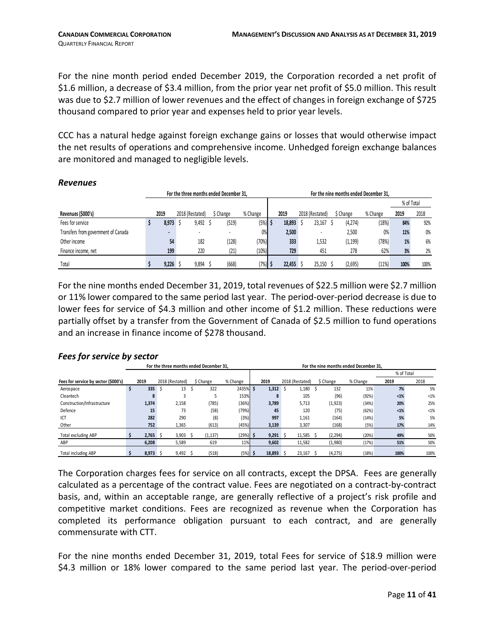For the nine month period ended December 2019, the Corporation recorded a net profit of \$1.6 million, a decrease of \$3.4 million, from the prior year net profit of \$5.0 million. This result was due to \$2.7 million of lower revenues and the effect of changes in foreign exchange of \$725 thousand compared to prior year and expenses held to prior year levels.

CCC has a natural hedge against foreign exchange gains or losses that would otherwise impact the net results of operations and comprehensive income. Unhedged foreign exchange balances are monitored and managed to negligible levels.

|                                     |                          | For the three months ended December 31. |           |           |        |                          |           | For the nine months ended December 31. |            |      |
|-------------------------------------|--------------------------|-----------------------------------------|-----------|-----------|--------|--------------------------|-----------|----------------------------------------|------------|------|
|                                     |                          |                                         |           |           |        |                          |           |                                        | % of Total |      |
| Revenues (\$000's)                  | 2019                     | 2018 (Restated)                         | \$ Change | % Change  | 2019   | 2018 (Restated)          | \$ Change | % Change                               | 2019       | 2018 |
| Fees for service                    | 8,973                    | 9,492                                   | (519)     | $(5%)$ \$ | 18,893 | 23.167                   | (4, 274)  | (18%)                                  | 84%        | 92%  |
| Transfers from government of Canada | $\overline{\phantom{a}}$ |                                         | ۰         | 0%        | 2,500  | $\overline{\phantom{a}}$ | 2,500     | 0%                                     | 11%        | 0%   |
| Other income                        | 54                       | 182                                     | (128)     | (70%)     | 333    | 1,532                    | (1, 199)  | (78%)                                  | 1%         | 6%   |
| Finance income, net                 | 199                      | 220                                     | (21)      | (10%)     | 729    | 451                      | 278       | 62%                                    | 3%         | 2%   |
| Total                               | 9.226                    | 9,894                                   | (668)     | $(7%)$ \$ | 22,455 | 25.150                   | (2,695)   | (11%)                                  | 100%       | 100% |

#### *Revenues*

For the nine months ended December 31, 2019, total revenues of \$22.5 million were \$2.7 million or 11% lower compared to the same period last year. The period-over-period decrease is due to lower fees for service of \$4.3 million and other income of \$1.2 million. These reductions were partially offset by a transfer from the Government of Canada of \$2.5 million to fund operations and an increase in finance income of \$278 thousand.

|                                      |       |     |                 | For the three months ended December 31. |            |    |            |                 |        | For the nine months ended December 31. |          |            |         |
|--------------------------------------|-------|-----|-----------------|-----------------------------------------|------------|----|------------|-----------------|--------|----------------------------------------|----------|------------|---------|
|                                      |       |     |                 |                                         |            |    |            |                 |        |                                        |          | % of Total |         |
| Fees for service by sector (\$000's) | 2019  |     | 2018 (Restated) | \$ Change                               | % Change   |    | 2019       | 2018 (Restated) |        | \$ Change                              | % Change | 2019       | 2018    |
| Aerospace                            | 335   |     | 13              | 322                                     | 2435%      | -S | $1,312$ \$ |                 | 1.180  | 132                                    | 11%      | 7%         | 5%      |
| Cleantech                            | 8     |     |                 |                                         | 153%       |    |            |                 | 105    | (96)                                   | (92%)    | $1%$       | $< 1\%$ |
| Construction/Infrastructure          | 1,374 |     | 2,158           | (785)                                   | (36%)      |    | 3,789      |                 | 5,713  | (1, 923)                               | (34%)    | 20%        | 25%     |
| Defence                              | 15    |     | 73              | (58)                                    | (79%)      |    | 45         |                 | 120    | (75)                                   | (62%)    | $1%$       | $< 1\%$ |
| ICT                                  | 282   |     | 290             | (8)                                     | (3%)       |    | 997        |                 | 1,161  | (164)                                  | (14%)    | 5%         | 5%      |
| Other                                | 752   |     | 1,365           | (613)                                   | (45%)      |    | 3,139      |                 | 3,307  | (168)                                  | (5%)     | 17%        | 14%     |
| Total excluding ABP                  | 2.765 | . S | 3.903           | (1, 137)                                | $(29%)$ \$ |    | 9.291 S    |                 | 11.585 | (2, 294)                               | (20%)    | 49%        | 50%     |
| ABP                                  | 6,208 |     | 5,589           | 619                                     | 11%        |    | 9,602      |                 | 11,582 | (1,980)                                | (17%)    | 51%        | 50%     |
| Total including ABP                  | 8.973 |     | 9.492           | (518)                                   | (5%)       |    | 18.893     |                 | 23.167 | (4, 275)                               | (18%)    | 100%       | 100%    |

#### *Fees for service by sector*

The Corporation charges fees for service on all contracts, except the DPSA. Fees are generally calculated as a percentage of the contract value. Fees are negotiated on a contract-by-contract basis, and, within an acceptable range, are generally reflective of a project's risk profile and competitive market conditions. Fees are recognized as revenue when the Corporation has completed its performance obligation pursuant to each contract, and are generally commensurate with CTT.

For the nine months ended December 31, 2019, total Fees for service of \$18.9 million were \$4.3 million or 18% lower compared to the same period last year. The period-over-period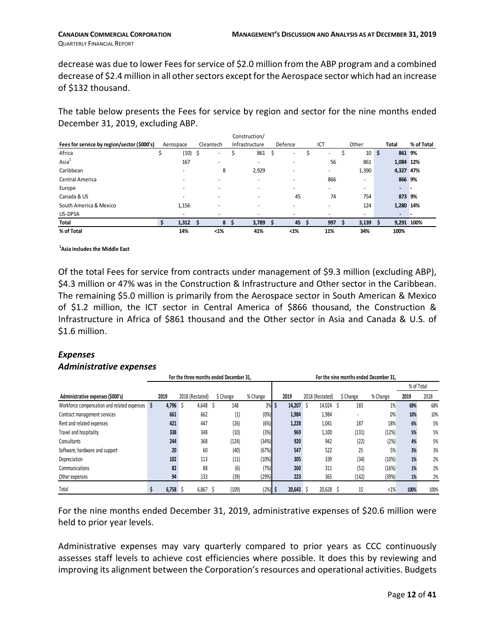decrease was due to lower Fees for service of \$2.0 million from the ABP program and a combined decrease of \$2.4 million in all other sectors except for the Aerospace sector which had an increase of \$132 thousand.

The table below presents the Fees for service by region and sector for the nine months ended December 31, 2019, excluding ABP.

|                                             |                |           |      | Construction/            |                          |                          |                          |                          |            |
|---------------------------------------------|----------------|-----------|------|--------------------------|--------------------------|--------------------------|--------------------------|--------------------------|------------|
| Fees for service by region/sector (\$000's) | Aerospace      | Cleantech |      | Infrastructure           | Defence                  | ICT                      | Other                    | <b>Total</b>             | % of Total |
| Africa                                      | (10)           | - \$      | ۰    | 861                      | ٠                        | ٠                        | 10                       | \$<br>861                | 9%         |
| Asia <sup>1</sup>                           | 167            |           | ۰    | ٠                        | $\overline{\phantom{a}}$ | 56                       | 861                      | 1,084 12%                |            |
| Caribbean                                   | $\overline{a}$ |           | 8    | 2,929                    | $\overline{\phantom{a}}$ | $\overline{\phantom{a}}$ | 1,390                    | 4,327 47%                |            |
| Central America                             | ۰              |           | -    | ٠                        | $\overline{\phantom{a}}$ | 866                      | $\overline{a}$           | 866 9%                   |            |
| Europe                                      |                |           |      | ٠                        | $\overline{\phantom{a}}$ | $\overline{\phantom{a}}$ | $\overline{\phantom{a}}$ | $\overline{\phantom{a}}$ |            |
| Canada & US                                 | ۰              |           |      | $\overline{\phantom{0}}$ | 45                       | 74                       | 754                      | 873 9%                   |            |
| South America & Mexico                      | 1,156          |           |      | ٠                        | $\overline{\phantom{a}}$ | $\overline{\phantom{a}}$ | 124                      | 1,280                    | 14%        |
| US-DPSA                                     | ۰              |           |      |                          | $\overline{\phantom{a}}$ |                          | $\overline{\phantom{a}}$ | $\overline{\phantom{a}}$ |            |
| Total                                       | 1,312          |           | 8    | 3,789                    | 45                       | 997                      | 3,139                    | 9,291 100%               |            |
| % of Total                                  | 14%            |           | $1%$ | 41%                      | $1%$                     | 11%                      | 34%                      | 100%                     |            |

**1 Asia includes the Middle East** 

Of the total Fees for service from contracts under management of \$9.3 million (excluding ABP), \$4.3 million or 47% was in the Construction & Infrastructure and Other sector in the Caribbean. The remaining \$5.0 million is primarily from the Aerospace sector in South American & Mexico of \$1.2 million, the ICT sector in Central America of \$866 thousand, the Construction & Infrastructure in Africa of \$861 thousand and the Other sector in Asia and Canada & U.S. of \$1.6 million.

#### *Expenses Administrative expenses*

|                                             |            | For the three months ended December 31, |           |           |     |        |                 | For the nine months ended December 31, |          |            |      |
|---------------------------------------------|------------|-----------------------------------------|-----------|-----------|-----|--------|-----------------|----------------------------------------|----------|------------|------|
|                                             |            |                                         |           |           |     |        |                 |                                        |          | % of Total |      |
| Administrative expenses (\$000's)           | 2019       | 2018 (Restated)                         | \$ Change | % Change  |     | 2019   | 2018 (Restated) | \$ Change                              | % Change | 2019       | 2018 |
| Workforce compensation and related expenses | 4,796<br>S | 4,648<br>C                              | 148       |           | 3%5 | 14,207 | 14,024 \$       | 183                                    | 1%       | 69%        | 68%  |
| Contract management services                | 661        | 662                                     | (1)       | (0%)      |     | 1,984  | 1,984           |                                        | 0%       | 10%        | 10%  |
| Rent and related expenses                   | 421        | 447                                     | (26)      | (6%)      |     | 1,228  | 1,041           | 187                                    | 18%      | 6%         | 5%   |
| Travel and hospitality                      | 338        | 348                                     | (10)      | (3%)      |     | 969    | 1,100           | (131)                                  | (12%)    | 5%         | 5%   |
| Consultants                                 | 244        | 368                                     | (124)     | (34%)     |     | 920    | 942             | (22)                                   | (2%)     | 4%         | 5%   |
| Software, hardware and support              | 20         | 60                                      | (40)      | (67%)     |     | 547    | 522             | 25                                     | 5%       | 3%         | 3%   |
| Depreciation                                | 102        | 113                                     | (11)      | (10%)     |     | 305    | 339             | (34)                                   | (10%)    | 1%         | 2%   |
| Communications                              | 82         | 88                                      | (6)       | (7%)      |     | 260    | 311             | (51)                                   | (16%)    | 1%         | 2%   |
| Other expenses                              | 94         | 133                                     | (39)      | (29%)     |     | 223    | 365             | (142)                                  | (39%)    | 1%         | 2%   |
| Total                                       | 6,758      | 6,867                                   | (109)     | $(2%)$ \$ |     | 20.643 | 20,628 \$       | 15                                     | $<1\%$   | 100%       | 100% |

For the nine months ended December 31, 2019, administrative expenses of \$20.6 million were held to prior year levels.

Administrative expenses may vary quarterly compared to prior years as CCC continuously assesses staff levels to achieve cost efficiencies where possible. It does this by reviewing and improving its alignment between the Corporation's resources and operational activities. Budgets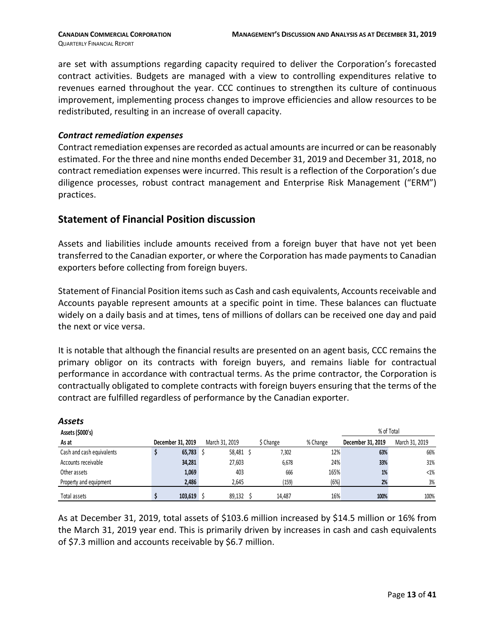are set with assumptions regarding capacity required to deliver the Corporation's forecasted contract activities. Budgets are managed with a view to controlling expenditures relative to revenues earned throughout the year. CCC continues to strengthen its culture of continuous improvement, implementing process changes to improve efficiencies and allow resources to be redistributed, resulting in an increase of overall capacity.

#### *Contract remediation expenses*

Contract remediation expenses are recorded as actual amounts are incurred or can be reasonably estimated. For the three and nine months ended December 31, 2019 and December 31, 2018, no contract remediation expenses were incurred. This result is a reflection of the Corporation's due diligence processes, robust contract management and Enterprise Risk Management ("ERM") practices.

#### **Statement of Financial Position discussion**

Assets and liabilities include amounts received from a foreign buyer that have not yet been transferred to the Canadian exporter, or where the Corporation has made payments to Canadian exporters before collecting from foreign buyers.

Statement of Financial Position items such as Cash and cash equivalents, Accounts receivable and Accounts payable represent amounts at a specific point in time. These balances can fluctuate widely on a daily basis and at times, tens of millions of dollars can be received one day and paid the next or vice versa.

It is notable that although the financial results are presented on an agent basis, CCC remains the primary obligor on its contracts with foreign buyers, and remains liable for contractual performance in accordance with contractual terms. As the prime contractor, the Corporation is contractually obligated to complete contracts with foreign buyers ensuring that the terms of the contract are fulfilled regardless of performance by the Canadian exporter.

| Assets                    |                   |                |           |          |                   |                |
|---------------------------|-------------------|----------------|-----------|----------|-------------------|----------------|
| Assets (\$000's)          |                   |                |           |          | % of Total        |                |
| As at                     | December 31, 2019 | March 31, 2019 | \$ Change | % Change | December 31, 2019 | March 31, 2019 |
| Cash and cash equivalents | $65,783$ \$       | 58,481 \$      | 7,302     | 12%      | 63%               | 66%            |
| Accounts receivable       | 34,281            | 27,603         | 6,678     | 24%      | 33%               | 31%            |
| Other assets              | 1,069             | 403            | 666       | 165%     | 1%                | $< 1\%$        |
| Property and equipment    | 2,486             | 2,645          | (159)     | (6%)     | 2%                | 3%             |
| Total assets              | $103,619$ \$      | 89,132         | 14.487    | 16%      | 100%              | 100%           |

As at December 31, 2019, total assets of \$103.6 million increased by \$14.5 million or 16% from the March 31, 2019 year end. This is primarily driven by increases in cash and cash equivalents of \$7.3 million and accounts receivable by \$6.7 million.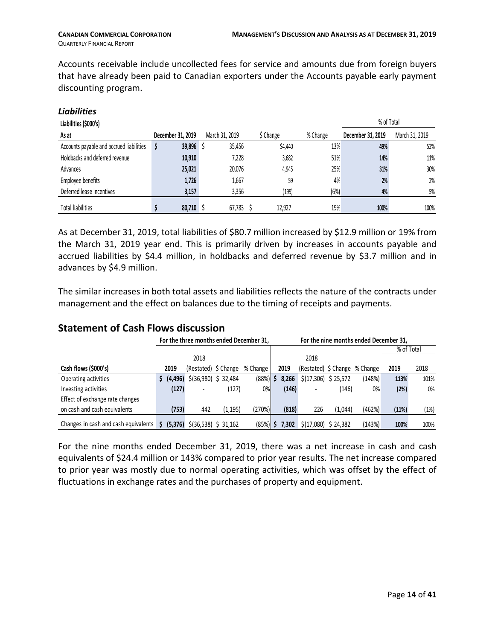Accounts receivable include uncollected fees for service and amounts due from foreign buyers that have already been paid to Canadian exporters under the Accounts payable early payment discounting program.

| <b>Liabilities</b>                       |                   |                |           |          |                   |                |
|------------------------------------------|-------------------|----------------|-----------|----------|-------------------|----------------|
| Liabilities (\$000's)                    |                   |                |           |          | % of Total        |                |
| As at                                    | December 31, 2019 | March 31, 2019 | \$ Change | % Change | December 31, 2019 | March 31, 2019 |
| Accounts payable and accrued liabilities | 39,896 \$<br>S    | 35,456         | \$4,440   | 13%      | 49%               | 52%            |
| Holdbacks and deferred revenue           | 10,910            | 7,228          | 3,682     | 51%      | 14%               | 11%            |
| Advances                                 | 25,021            | 20,076         | 4,945     | 25%      | 31%               | 30%            |
| Employee benefits                        | 1,726             | 1,667          | 59        | 4%       | 2%                | 2%             |
| Deferred lease incentives                | 3,157             | 3,356          | 199)      | (6%)     | 4%                | 5%             |
| <b>Total liabilities</b>                 | 80,710 \$         | 67,783         | 12,927    | 19%      | 100%              | 100%           |

As at December 31, 2019, total liabilities of \$80.7 million increased by \$12.9 million or 19% from the March 31, 2019 year end. This is primarily driven by increases in accounts payable and accrued liabilities by \$4.4 million, in holdbacks and deferred revenue by \$3.7 million and in advances by \$4.9 million.

The similar increases in both total assets and liabilities reflects the nature of the contracts under management and the effect on balances due to the timing of receipts and payments.

### **Statement of Cash Flows discussion**

|                                      |    |       | For the three months ended December 31. |          |                   |   |       | For the nine months ended December 31, |         |        |            |      |  |
|--------------------------------------|----|-------|-----------------------------------------|----------|-------------------|---|-------|----------------------------------------|---------|--------|------------|------|--|
|                                      |    |       |                                         |          |                   |   |       |                                        |         |        | % of Total |      |  |
|                                      |    |       | 2018                                    |          |                   |   |       | 2018                                   |         |        |            |      |  |
| Cash flows (\$000's)                 |    | 2019  | (Restated) \$ Change                    |          | % Change          |   | 2019  | (Restated) \$ Change % Change          |         |        | 2019       | 2018 |  |
| Operating activities                 |    |       | $(4,496)$ \$(36,980) \$ 32,484          |          | (88%)             | S | 8.266 | \$(17,306) \$25,572                    |         | (148%) | 113%       | 101% |  |
| Investing activities                 |    | (127) |                                         | (127)    | 0%                |   | (146) |                                        | (146)   | 0%     | (2%)       | 0%   |  |
| Effect of exchange rate changes      |    |       |                                         |          |                   |   |       |                                        |         |        |            |      |  |
| on cash and cash equivalents         |    | (753) | 442                                     | (1, 195) | (270%)            |   | (818) | 226                                    | (1,044) | (462%) | (11%)      | (1%) |  |
| Changes in cash and cash equivalents | Ś. |       | $(5,376)$ \$(36,538) \$ 31,162          |          | (85%) <b>  \$</b> |   | 7.302 | \$(17,080) \$24,382                    |         | (143%) | 100%       | 100% |  |

For the nine months ended December 31, 2019, there was a net increase in cash and cash equivalents of \$24.4 million or 143% compared to prior year results. The net increase compared to prior year was mostly due to normal operating activities, which was offset by the effect of fluctuations in exchange rates and the purchases of property and equipment.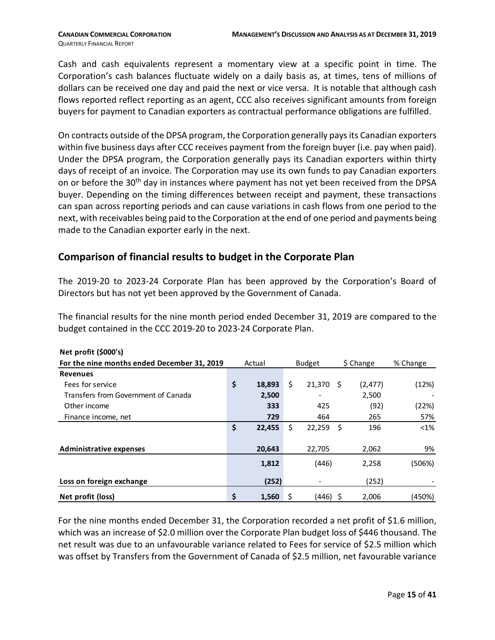Cash and cash equivalents represent a momentary view at a specific point in time. The Corporation's cash balances fluctuate widely on a daily basis as, at times, tens of millions of dollars can be received one day and paid the next or vice versa. It is notable that although cash flows reported reflect reporting as an agent, CCC also receives significant amounts from foreign buyers for payment to Canadian exporters as contractual performance obligations are fulfilled.

On contracts outside of the DPSA program, the Corporation generally pays its Canadian exporters within five business days after CCC receives payment from the foreign buyer (i.e. pay when paid). Under the DPSA program, the Corporation generally pays its Canadian exporters within thirty days of receipt of an invoice. The Corporation may use its own funds to pay Canadian exporters on or before the 30<sup>th</sup> day in instances where payment has not yet been received from the DPSA buyer. Depending on the timing differences between receipt and payment, these transactions can span across reporting periods and can cause variations in cash flows from one period to the next, with receivables being paid to the Corporation at the end of one period and payments being made to the Canadian exporter early in the next.

#### **Comparison of financial results to budget in the Corporate Plan**

The 2019-20 to 2023-24 Corporate Plan has been approved by the Corporation's Board of Directors but has not yet been approved by the Government of Canada.

The financial results for the nine month period ended December 31, 2019 are compared to the budget contained in the CCC 2019-20 to 2023-24 Corporate Plan.

| Net profit (\$000's)                        |              |    |               |     |           |          |
|---------------------------------------------|--------------|----|---------------|-----|-----------|----------|
| For the nine months ended December 31, 2019 | Actual       |    | <b>Budget</b> |     | \$ Change | % Change |
| <b>Revenues</b>                             |              |    |               |     |           |          |
| Fees for service                            | \$<br>18,893 | \$ | 21,370        | -S  | (2, 477)  | (12%)    |
| Transfers from Government of Canada         | 2,500        |    |               |     | 2,500     |          |
| Other income                                | 333          |    | 425           |     | (92)      | (22%)    |
| Finance income, net                         | 729          |    | 464           |     | 265       | 57%      |
|                                             | \$<br>22,455 | \$ | 22,259        | \$  | 196       | $<$ 1%   |
|                                             |              |    |               |     |           |          |
| <b>Administrative expenses</b>              | 20,643       |    | 22,705        |     | 2,062     | 9%       |
|                                             | 1,812        |    | (446)         |     | 2,258     | (506%)   |
| Loss on foreign exchange                    | (252)        |    |               |     | (252)     |          |
| Net profit (loss)                           | \$<br>1,560  | \$ | (446)         | - S | 2,006     | (450%)   |

For the nine months ended December 31, the Corporation recorded a net profit of \$1.6 million, which was an increase of \$2.0 million over the Corporate Plan budget loss of \$446 thousand. The net result was due to an unfavourable variance related to Fees for service of \$2.5 million which was offset by Transfers from the Government of Canada of \$2.5 million, net favourable variance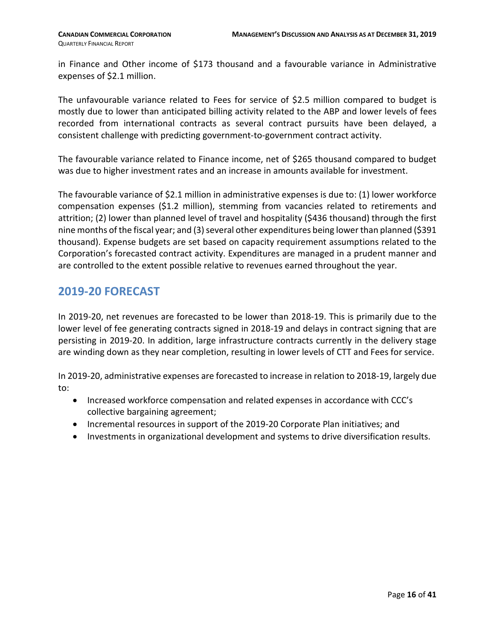in Finance and Other income of \$173 thousand and a favourable variance in Administrative expenses of \$2.1 million.

The unfavourable variance related to Fees for service of \$2.5 million compared to budget is mostly due to lower than anticipated billing activity related to the ABP and lower levels of fees recorded from international contracts as several contract pursuits have been delayed, a consistent challenge with predicting government-to-government contract activity.

The favourable variance related to Finance income, net of \$265 thousand compared to budget was due to higher investment rates and an increase in amounts available for investment.

The favourable variance of \$2.1 million in administrative expenses is due to: (1) lower workforce compensation expenses (\$1.2 million), stemming from vacancies related to retirements and attrition; (2) lower than planned level of travel and hospitality (\$436 thousand) through the first nine months of the fiscal year; and (3) several other expenditures being lower than planned (\$391 thousand). Expense budgets are set based on capacity requirement assumptions related to the Corporation's forecasted contract activity. Expenditures are managed in a prudent manner and are controlled to the extent possible relative to revenues earned throughout the year.

### <span id="page-15-0"></span>**2019-20 FORECAST**

In 2019-20, net revenues are forecasted to be lower than 2018-19. This is primarily due to the lower level of fee generating contracts signed in 2018-19 and delays in contract signing that are persisting in 2019-20. In addition, large infrastructure contracts currently in the delivery stage are winding down as they near completion, resulting in lower levels of CTT and Fees for service.

In 2019-20, administrative expenses are forecasted to increase in relation to 2018-19, largely due to:

- Increased workforce compensation and related expenses in accordance with CCC's collective bargaining agreement;
- Incremental resources in support of the 2019-20 Corporate Plan initiatives; and
- <span id="page-15-1"></span>• Investments in organizational development and systems to drive diversification results.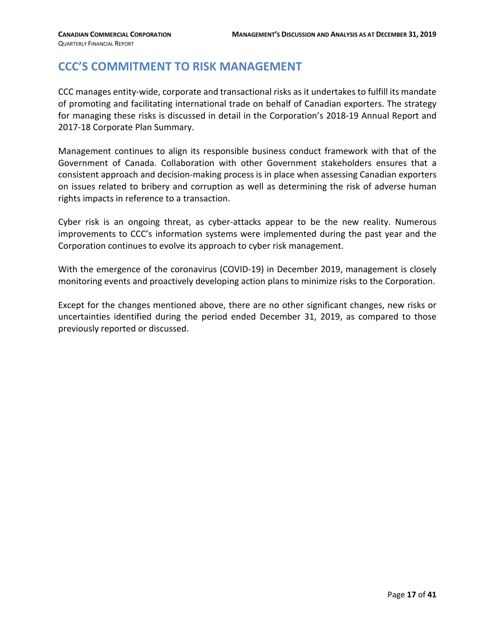# **CCC'S COMMITMENT TO RISK MANAGEMENT**

CCC manages entity-wide, corporate and transactional risks as it undertakes to fulfill its mandate of promoting and facilitating international trade on behalf of Canadian exporters. The strategy for managing these risks is discussed in detail in the Corporation's 2018-19 Annual Report and 2017-18 Corporate Plan Summary.

Management continues to align its responsible business conduct framework with that of the Government of Canada. Collaboration with other Government stakeholders ensures that a consistent approach and decision-making process is in place when assessing Canadian exporters on issues related to bribery and corruption as well as determining the risk of adverse human rights impacts in reference to a transaction.

Cyber risk is an ongoing threat, as cyber-attacks appear to be the new reality. Numerous improvements to CCC's information systems were implemented during the past year and the Corporation continues to evolve its approach to cyber risk management.

With the emergence of the coronavirus (COVID-19) in December 2019, management is closely monitoring events and proactively developing action plans to minimize risks to the Corporation.

Except for the changes mentioned above, there are no other significant changes, new risks or uncertainties identified during the period ended December 31, 2019, as compared to those previously reported or discussed.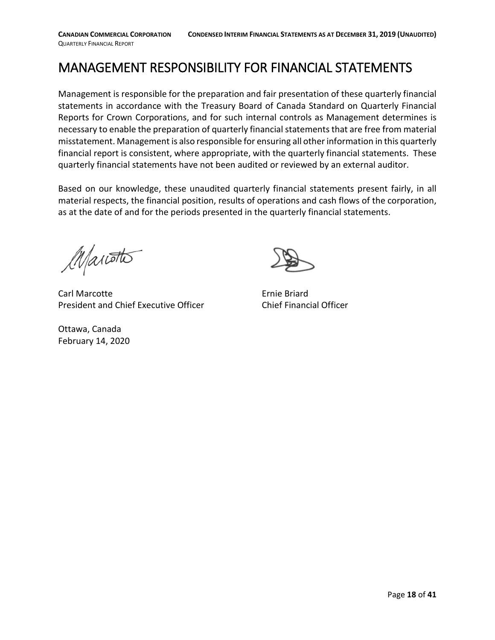# <span id="page-17-0"></span>MANAGEMENT RESPONSIBILITY FOR FINANCIAL STATEMENTS

Management is responsible for the preparation and fair presentation of these quarterly financial statements in accordance with the Treasury Board of Canada Standard on Quarterly Financial Reports for Crown Corporations, and for such internal controls as Management determines is necessary to enable the preparation of quarterly financial statements that are free from material misstatement. Management is also responsible for ensuring all other information in this quarterly financial report is consistent, where appropriate, with the quarterly financial statements. These quarterly financial statements have not been audited or reviewed by an external auditor.

Based on our knowledge, these unaudited quarterly financial statements present fairly, in all material respects, the financial position, results of operations and cash flows of the corporation, as at the date of and for the periods presented in the quarterly financial statements.

Mariotto

Carl Marcotte **Example 2018** Ernie Briard President and Chief Executive Officer Chief Financial Officer

Ottawa, Canada February 14, 2020

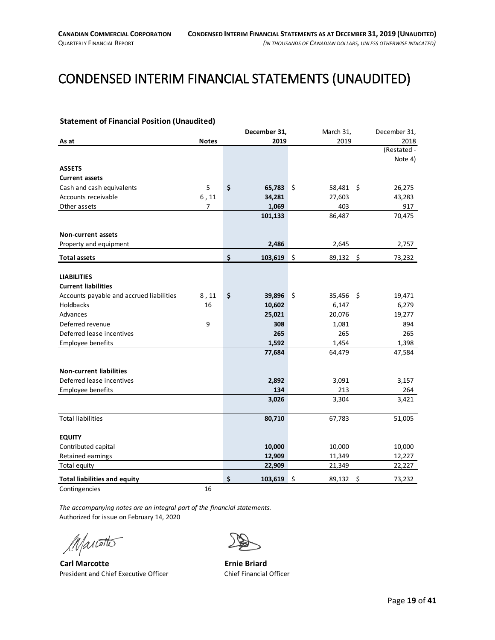# <span id="page-18-0"></span>CONDENSED INTERIM FINANCIAL STATEMENTS (UNAUDITED)

#### <span id="page-18-1"></span>**Statement of Financial Position (Unaudited)**

|                                          |              | December 31,  | March 31,         | December 31,  |
|------------------------------------------|--------------|---------------|-------------------|---------------|
| As at                                    | <b>Notes</b> | 2019          | 2019              | 2018          |
|                                          |              |               |                   | (Restated -   |
|                                          |              |               |                   | Note 4)       |
| <b>ASSETS</b>                            |              |               |                   |               |
| <b>Current assets</b>                    |              |               |                   |               |
| Cash and cash equivalents                | 5            | \$<br>65,783  | $\zeta$<br>58,481 | 26,275<br>-\$ |
| Accounts receivable                      | $6$ , 11     | 34,281        | 27,603            | 43,283        |
| Other assets                             | 7            | 1,069         | 403               | 917           |
|                                          |              | 101,133       | 86,487            | 70,475        |
|                                          |              |               |                   |               |
| <b>Non-current assets</b>                |              |               |                   |               |
| Property and equipment                   |              | 2,486         | 2,645             | 2,757         |
| <b>Total assets</b>                      |              | \$<br>103,619 | \$<br>89,132      | \$<br>73,232  |
|                                          |              |               |                   |               |
| <b>LIABILITIES</b>                       |              |               |                   |               |
| <b>Current liabilities</b>               |              |               |                   |               |
| Accounts payable and accrued liabilities | 8,11         | \$<br>39,896  | \$<br>35,456      | 19,471<br>-\$ |
| Holdbacks                                | 16           | 10,602        | 6,147             | 6,279         |
| Advances                                 |              | 25,021        | 20,076            | 19,277        |
| Deferred revenue                         | 9            | 308           | 1,081             | 894           |
| Deferred lease incentives                |              | 265           | 265               | 265           |
| Employee benefits                        |              | 1,592         | 1,454             | 1,398         |
|                                          |              | 77,684        | 64,479            | 47,584        |
| <b>Non-current liabilities</b>           |              |               |                   |               |
| Deferred lease incentives                |              | 2,892         | 3,091             | 3,157         |
| Employee benefits                        |              | 134           | 213               | 264           |
|                                          |              | 3,026         | 3,304             | 3,421         |
| <b>Total liabilities</b>                 |              | 80,710        | 67,783            | 51,005        |
|                                          |              |               |                   |               |
| <b>EQUITY</b>                            |              |               |                   |               |
| Contributed capital                      |              | 10,000        | 10,000            | 10,000        |
| Retained earnings                        |              | 12,909        | 11,349            | 12,227        |
| Total equity                             |              | 22,909        | 21,349            | 22,227        |
| <b>Total liabilities and equity</b>      |              | \$<br>103,619 | Ś.<br>89,132      | \$<br>73,232  |
| Contingencies                            | 16           |               |                   |               |

*The accompanying notes are an integral part of the financial statements.* Authorized for issue on February 14, 2020

Marotto

**Carl Marcotte Ernie Briard** President and Chief Executive Officer Chief Financial Officer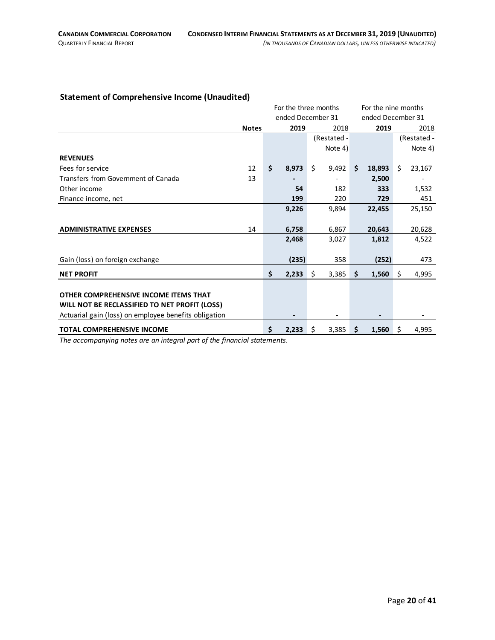#### <span id="page-19-0"></span>**Statement of Comprehensive Income (Unaudited)**

|                                                       |              | For the three months |                   |      |    | For the nine months |    |             |  |
|-------------------------------------------------------|--------------|----------------------|-------------------|------|----|---------------------|----|-------------|--|
|                                                       |              |                      | ended December 31 |      |    | ended December 31   |    |             |  |
|                                                       | <b>Notes</b> | 2019                 |                   | 2018 |    | 2019                |    | 2018        |  |
|                                                       |              |                      | (Restated -       |      |    |                     |    | (Restated - |  |
|                                                       |              |                      | Note 4)           |      |    |                     |    | Note 4)     |  |
| <b>REVENUES</b>                                       |              |                      |                   |      |    |                     |    |             |  |
| Fees for service                                      | 12           | \$<br>8,973          | \$<br>9,492       |      | \$ | 18,893              | Ŝ. | 23,167      |  |
| Transfers from Government of Canada                   | 13           |                      |                   |      |    | 2,500               |    |             |  |
| Other income                                          |              | 54                   |                   | 182  |    | 333                 |    | 1,532       |  |
| Finance income, net                                   |              | 199                  |                   | 220  |    | 729                 |    | 451         |  |
|                                                       |              | 9,226                | 9,894             |      |    | 22,455              |    | 25,150      |  |
|                                                       |              |                      |                   |      |    |                     |    |             |  |
| <b>ADMINISTRATIVE EXPENSES</b>                        | 14           | 6,758                | 6,867             |      |    | 20,643              |    | 20,628      |  |
|                                                       |              | 2,468                | 3,027             |      |    | 1,812               |    | 4,522       |  |
|                                                       |              |                      |                   |      |    |                     |    |             |  |
| Gain (loss) on foreign exchange                       |              | (235)                |                   | 358  |    | (252)               |    | 473         |  |
| <b>NET PROFIT</b>                                     |              | \$<br>2,233          | \$<br>3,385       |      | \$ | 1,560               | \$ | 4,995       |  |
|                                                       |              |                      |                   |      |    |                     |    |             |  |
| OTHER COMPREHENSIVE INCOME ITEMS THAT                 |              |                      |                   |      |    |                     |    |             |  |
| WILL NOT BE RECLASSIFIED TO NET PROFIT (LOSS)         |              |                      |                   |      |    |                     |    |             |  |
| Actuarial gain (loss) on employee benefits obligation |              |                      |                   |      |    |                     |    |             |  |
| <b>TOTAL COMPREHENSIVE INCOME</b>                     |              | \$<br>2,233          | \$<br>3,385       |      | \$ | 1,560               | \$ | 4,995       |  |

*The accompanying notes are an integral part of the financial statements.*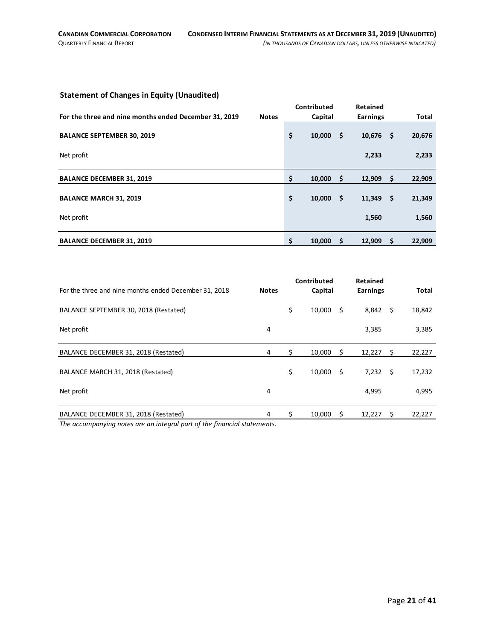#### <span id="page-20-0"></span>**Statement of Changes in Equity (Unaudited)**

|                                                       |              | Contributed  |      | Retained        |      |        |
|-------------------------------------------------------|--------------|--------------|------|-----------------|------|--------|
| For the three and nine months ended December 31, 2019 | <b>Notes</b> | Capital      |      | <b>Earnings</b> |      | Total  |
|                                                       |              |              |      |                 |      |        |
| <b>BALANCE SEPTEMBER 30, 2019</b>                     |              | \$<br>10,000 | - \$ | 10,676          | - \$ | 20,676 |
|                                                       |              |              |      |                 |      |        |
| Net profit                                            |              |              |      | 2,233           |      | 2,233  |
|                                                       |              |              |      |                 |      |        |
| <b>BALANCE DECEMBER 31, 2019</b>                      |              | \$<br>10,000 | -\$  | 12,909          | -\$  | 22,909 |
|                                                       |              |              |      |                 |      |        |
| <b>BALANCE MARCH 31, 2019</b>                         |              | \$<br>10,000 | - \$ | 11,349          | - \$ | 21,349 |
|                                                       |              |              |      |                 |      |        |
| Net profit                                            |              |              |      | 1,560           |      | 1,560  |
|                                                       |              |              |      |                 |      |        |
| <b>BALANCE DECEMBER 31, 2019</b>                      |              | \$<br>10,000 | -S   | 12,909          | -\$  | 22,909 |

|                                                                          |              |    | Contributed |      | <b>Retained</b> |      |        |
|--------------------------------------------------------------------------|--------------|----|-------------|------|-----------------|------|--------|
| For the three and nine months ended December 31, 2018                    | <b>Notes</b> |    | Capital     |      | <b>Earnings</b> |      | Total  |
| BALANCE SEPTEMBER 30, 2018 (Restated)                                    |              | \$ | 10,000      | \$   | 8,842           | - \$ | 18,842 |
| Net profit                                                               | 4            |    |             |      | 3,385           |      | 3,385  |
| BALANCE DECEMBER 31, 2018 (Restated)                                     | 4            | \$ | 10,000      | \$   | 12,227          | -\$  | 22,227 |
| BALANCE MARCH 31, 2018 (Restated)                                        |              | \$ | 10,000      | - \$ | 7,232           | - \$ | 17,232 |
| Net profit                                                               | 4            |    |             |      | 4,995           |      | 4,995  |
| BALANCE DECEMBER 31, 2018 (Restated)                                     | 4            | Ś. | 10.000      | \$.  | 12,227          | S.   | 22,227 |
| The accompanying notes are an integral part of the financial statements. |              |    |             |      |                 |      |        |

*The accompanying notes are an integral part of the financial statements.*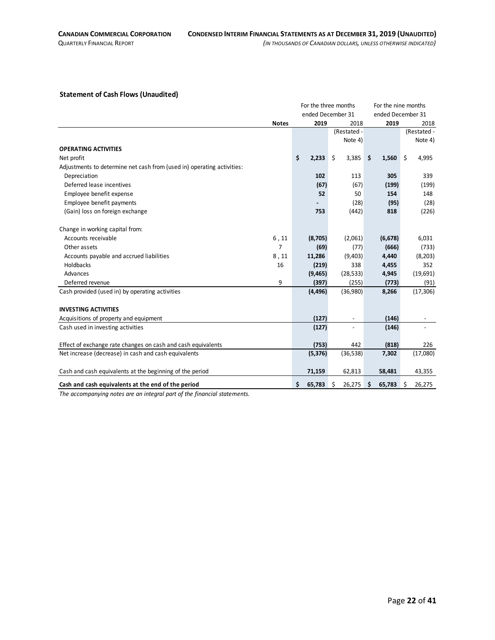#### <span id="page-21-0"></span>**Statement of Cash Flows (Unaudited)**

|                                                                        |              |                  | For the three months | For the nine months |             |
|------------------------------------------------------------------------|--------------|------------------|----------------------|---------------------|-------------|
|                                                                        |              |                  | ended December 31    | ended December 31   |             |
|                                                                        | <b>Notes</b> | 2019             | 2018                 | 2019                | 2018        |
|                                                                        |              |                  | (Restated -          |                     | (Restated - |
|                                                                        |              |                  | Note 4)              |                     | Note 4)     |
| <b>OPERATING ACTIVITIES</b>                                            |              |                  |                      |                     |             |
| Net profit                                                             |              | \$<br>$2,233$ \$ | 3,385                | \$<br>1,560         | \$<br>4,995 |
| Adjustments to determine net cash from (used in) operating activities: |              |                  |                      |                     |             |
| Depreciation                                                           |              | 102              | 113                  | 305                 | 339         |
| Deferred lease incentives                                              |              | (67)             | (67)                 | (199)               | (199)       |
| Employee benefit expense                                               |              | 52               | 50                   | 154                 | 148         |
| Employee benefit payments                                              |              |                  | (28)                 | (95)                | (28)        |
| (Gain) loss on foreign exchange                                        |              | 753              | (442)                | 818                 | (226)       |
|                                                                        |              |                  |                      |                     |             |
| Change in working capital from:                                        |              |                  |                      |                     |             |
| Accounts receivable                                                    | 6, 11        | (8,705)          | (2,061)              | (6, 678)            | 6,031       |
| Other assets                                                           | 7            | (69)             | (77)                 | (666)               | (733)       |
| Accounts payable and accrued liabilities                               | 8,11         | 11,286           | (9,403)              | 4,440               | (8, 203)    |
| <b>Holdbacks</b>                                                       | 16           | (219)            | 338                  | 4,455               | 352         |
| Advances                                                               |              | (9, 465)         | (28, 533)            | 4,945               | (19,691)    |
| Deferred revenue                                                       | 9            | (397)            | (255)                | (773)               | (91)        |
| Cash provided (used in) by operating activities                        |              | (4, 496)         | (36,980)             | 8,266               | (17, 306)   |
|                                                                        |              |                  |                      |                     |             |
| <b>INVESTING ACTIVITIES</b>                                            |              |                  |                      |                     |             |
| Acquisitions of property and equipment                                 |              | (127)            |                      | (146)               |             |
| Cash used in investing activities                                      |              | (127)            |                      | (146)               |             |
|                                                                        |              |                  |                      |                     |             |
| Effect of exchange rate changes on cash and cash equivalents           |              | (753)            | 442                  | (818)               | 226         |
| Net increase (decrease) in cash and cash equivalents                   |              | (5, 376)         | (36,538)             | 7,302               | (17,080)    |
|                                                                        |              |                  |                      |                     |             |
| Cash and cash equivalents at the beginning of the period               |              | 71,159           | 62,813               | 58,481              | 43,355      |
| Cash and cash equivalents at the end of the period                     |              | Ś<br>65,783      | 26,275<br>S          | Ŝ<br>65,783         | Ŝ<br>26,275 |

*The accompanying notes are an integral part of the financial statements.*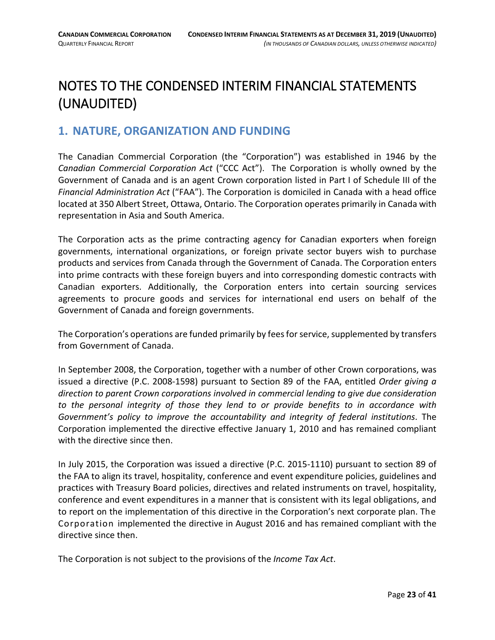# <span id="page-22-0"></span>NOTES TO THE CONDENSED INTERIM FINANCIAL STATEMENTS (UNAUDITED)

### <span id="page-22-1"></span>**1. NATURE, ORGANIZATION AND FUNDING**

The Canadian Commercial Corporation (the "Corporation") was established in 1946 by the *Canadian Commercial Corporation Act* ("CCC Act"). The Corporation is wholly owned by the Government of Canada and is an agent Crown corporation listed in Part I of Schedule III of the *Financial Administration Act* ("FAA"). The Corporation is domiciled in Canada with a head office located at 350 Albert Street, Ottawa, Ontario. The Corporation operates primarily in Canada with representation in Asia and South America.

The Corporation acts as the prime contracting agency for Canadian exporters when foreign governments, international organizations, or foreign private sector buyers wish to purchase products and services from Canada through the Government of Canada. The Corporation enters into prime contracts with these foreign buyers and into corresponding domestic contracts with Canadian exporters. Additionally, the Corporation enters into certain sourcing services agreements to procure goods and services for international end users on behalf of the Government of Canada and foreign governments.

The Corporation's operations are funded primarily by fees for service, supplemented by transfers from Government of Canada.

In September 2008, the Corporation, together with a number of other Crown corporations, was issued a directive (P.C. 2008-1598) pursuant to Section 89 of the FAA, entitled *Order giving a direction to parent Crown corporations involved in commercial lending to give due consideration to the personal integrity of those they lend to or provide benefits to in accordance with Government's policy to improve the accountability and integrity of federal institutions*. The Corporation implemented the directive effective January 1, 2010 and has remained compliant with the directive since then.

In July 2015, the Corporation was issued a directive (P.C. 2015-1110) pursuant to section 89 of the FAA to align its travel, hospitality, conference and event expenditure policies, guidelines and practices with Treasury Board policies, directives and related instruments on travel, hospitality, conference and event expenditures in a manner that is consistent with its legal obligations, and to report on the implementation of this directive in the Corporation's next corporate plan. The Corporation implemented the directive in August 2016 and has remained compliant with the directive since then.

The Corporation is not subject to the provisions of the *Income Tax Act*.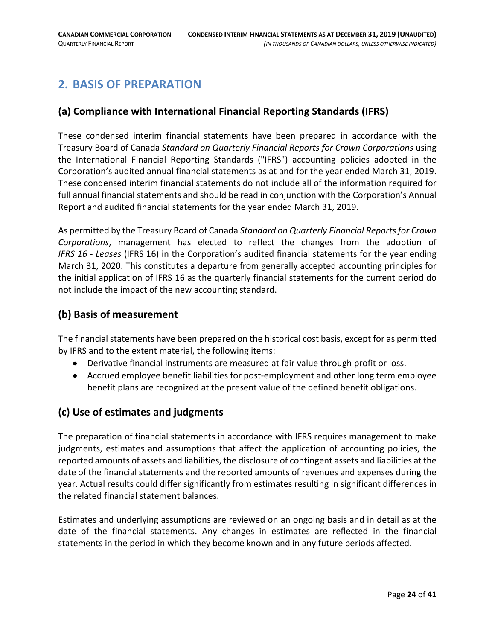# <span id="page-23-0"></span>**2. BASIS OF PREPARATION**

### **(a) Compliance with International Financial Reporting Standards (IFRS)**

These condensed interim financial statements have been prepared in accordance with the Treasury Board of Canada *Standard on Quarterly Financial Reports for Crown Corporations* using the International Financial Reporting Standards ("IFRS") accounting policies adopted in the Corporation's audited annual financial statements as at and for the year ended March 31, 2019. These condensed interim financial statements do not include all of the information required for full annual financial statements and should be read in conjunction with the Corporation's Annual Report and audited financial statements for the year ended March 31, 2019.

As permitted by the Treasury Board of Canada *Standard on Quarterly Financial Reports for Crown Corporations*, management has elected to reflect the changes from the adoption of *IFRS 16 - Leases* (IFRS 16) in the Corporation's audited financial statements for the year ending March 31, 2020. This constitutes a departure from generally accepted accounting principles for the initial application of IFRS 16 as the quarterly financial statements for the current period do not include the impact of the new accounting standard.

### **(b) Basis of measurement**

The financial statements have been prepared on the historical cost basis, except for as permitted by IFRS and to the extent material, the following items:

- Derivative financial instruments are measured at fair value through profit or loss.
- Accrued employee benefit liabilities for post-employment and other long term employee benefit plans are recognized at the present value of the defined benefit obligations.

### **(c) Use of estimates and judgments**

The preparation of financial statements in accordance with IFRS requires management to make judgments, estimates and assumptions that affect the application of accounting policies, the reported amounts of assets and liabilities, the disclosure of contingent assets and liabilities at the date of the financial statements and the reported amounts of revenues and expenses during the year. Actual results could differ significantly from estimates resulting in significant differences in the related financial statement balances.

Estimates and underlying assumptions are reviewed on an ongoing basis and in detail as at the date of the financial statements. Any changes in estimates are reflected in the financial statements in the period in which they become known and in any future periods affected.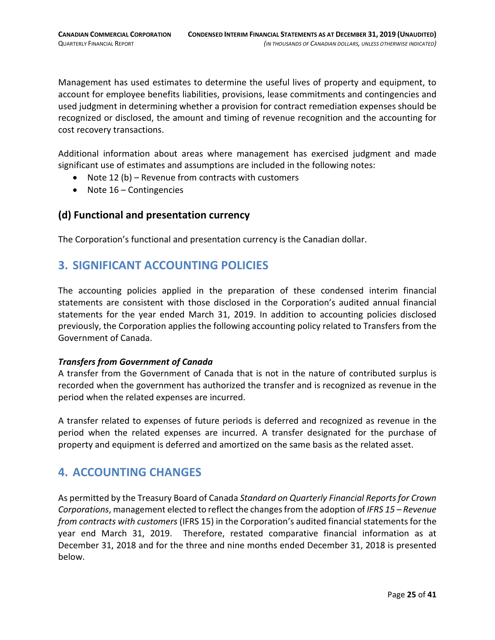Management has used estimates to determine the useful lives of property and equipment, to account for employee benefits liabilities, provisions, lease commitments and contingencies and used judgment in determining whether a provision for contract remediation expenses should be recognized or disclosed, the amount and timing of revenue recognition and the accounting for cost recovery transactions.

Additional information about areas where management has exercised judgment and made significant use of estimates and assumptions are included in the following notes:

- Note 12 (b) Revenue from contracts with customers
- Note 16 Contingencies

#### **(d) Functional and presentation currency**

The Corporation's functional and presentation currency is the Canadian dollar.

# <span id="page-24-0"></span>**3. SIGNIFICANT ACCOUNTING POLICIES**

The accounting policies applied in the preparation of these condensed interim financial statements are consistent with those disclosed in the Corporation's audited annual financial statements for the year ended March 31, 2019. In addition to accounting policies disclosed previously, the Corporation applies the following accounting policy related to Transfers from the Government of Canada.

#### *Transfers from Government of Canada*

A transfer from the Government of Canada that is not in the nature of contributed surplus is recorded when the government has authorized the transfer and is recognized as revenue in the period when the related expenses are incurred.

A transfer related to expenses of future periods is deferred and recognized as revenue in the period when the related expenses are incurred. A transfer designated for the purchase of property and equipment is deferred and amortized on the same basis as the related asset.

# <span id="page-24-1"></span>**4. ACCOUNTING CHANGES**

As permitted by the Treasury Board of Canada *Standard on Quarterly Financial Reports for Crown Corporations*, management elected to reflect the changes from the adoption of *IFRS 15 – Revenue from contracts with customers* (IFRS 15) in the Corporation's audited financial statements for the year end March 31, 2019. Therefore, restated comparative financial information as at December 31, 2018 and for the three and nine months ended December 31, 2018 is presented below.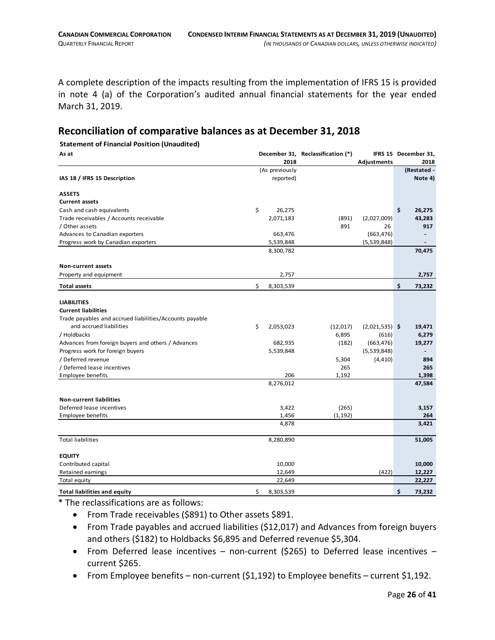A complete description of the impacts resulting from the implementation of IFRS 15 is provided in note 4 (a) of the Corporation's audited annual financial statements for the year ended March 31, 2019.

#### **Reconciliation of comparative balances as at December 31, 2018**

#### **Statement of Financial Position (Unaudited)**

| As at                                                             |    |                | December 31, Reclassification (*) |                  | IFRS 15 December 31, |
|-------------------------------------------------------------------|----|----------------|-----------------------------------|------------------|----------------------|
|                                                                   |    | 2018           |                                   | Adjustments      | 2018                 |
|                                                                   |    | (As previously |                                   |                  | (Restated -          |
| IAS 18 / IFRS 15 Description                                      |    | reported)      |                                   |                  | Note 4)              |
| <b>ASSETS</b>                                                     |    |                |                                   |                  |                      |
| <b>Current assets</b>                                             |    |                |                                   |                  |                      |
| Cash and cash equivalents                                         | \$ | 26,275         |                                   |                  | \$<br>26,275         |
| Trade receivables / Accounts receivable                           |    | 2,071,183      | (891)                             | (2,027,009)      | 43,283               |
| / Other assets                                                    |    |                | 891                               | 26               | 917                  |
| Advances to Canadian exporters                                    |    | 663,476        |                                   | (663, 476)       |                      |
| Progress work by Canadian exporters                               |    | 5,539,848      |                                   | (5,539,848)      |                      |
|                                                                   |    | 8,300,782      |                                   |                  | 70,475               |
| <b>Non-current assets</b>                                         |    |                |                                   |                  |                      |
| Property and equipment                                            |    | 2,757          |                                   |                  | 2,757                |
| <b>Total assets</b>                                               | \$ | 8,303,539      |                                   |                  | \$<br>73,232         |
|                                                                   |    |                |                                   |                  |                      |
| <b>LIABILITIES</b><br><b>Current liabilities</b>                  |    |                |                                   |                  |                      |
| Trade payables and accrued liabilities/Accounts payable           |    |                |                                   |                  |                      |
| and accrued liabilities                                           | \$ |                |                                   |                  |                      |
|                                                                   |    | 2,053,023      | (12,017)                          | $(2,021,535)$ \$ | 19,471               |
| / Holdbacks<br>Advances from foreign buyers and others / Advances |    |                | 6,895                             | (616)            | 6,279                |
|                                                                   |    | 682,935        | (182)                             | (663, 476)       | 19,277               |
| Progress work for foreign buyers                                  |    | 5,539,848      |                                   | (5,539,848)      |                      |
| / Deferred revenue<br>/ Deferred lease incentives                 |    |                | 5,304<br>265                      | (4, 410)         | 894<br>265           |
|                                                                   |    | 206            |                                   |                  |                      |
| <b>Employee benefits</b>                                          |    | 8,276,012      | 1,192                             |                  | 1,398                |
|                                                                   |    |                |                                   |                  | 47,584               |
| <b>Non-current liabilities</b>                                    |    |                |                                   |                  |                      |
| Deferred lease incentives                                         |    | 3,422          | (265)                             |                  | 3,157                |
| Employee benefits                                                 |    | 1,456          | (1, 192)                          |                  | 264                  |
|                                                                   |    | 4,878          |                                   |                  | 3,421                |
| <b>Total liabilities</b>                                          |    | 8,280,890      |                                   |                  | 51,005               |
| <b>EQUITY</b>                                                     |    |                |                                   |                  |                      |
| Contributed capital                                               |    | 10,000         |                                   |                  | 10,000               |
| <b>Retained earnings</b>                                          |    | 12,649         |                                   | (422)            | 12,227               |
| Total equity                                                      |    | 22,649         |                                   |                  | 22,227               |
|                                                                   |    |                |                                   |                  |                      |
| <b>Total liabilities and equity</b>                               | \$ | 8,303,539      |                                   |                  | \$<br>73,232         |

\* The reclassifications are as follows:

- From Trade receivables (\$891) to Other assets \$891.
- From Trade payables and accrued liabilities (\$12,017) and Advances from foreign buyers and others (\$182) to Holdbacks \$6,895 and Deferred revenue \$5,304.
- From Deferred lease incentives non-current (\$265) to Deferred lease incentives current \$265.
- From Employee benefits non-current (\$1,192) to Employee benefits current \$1,192.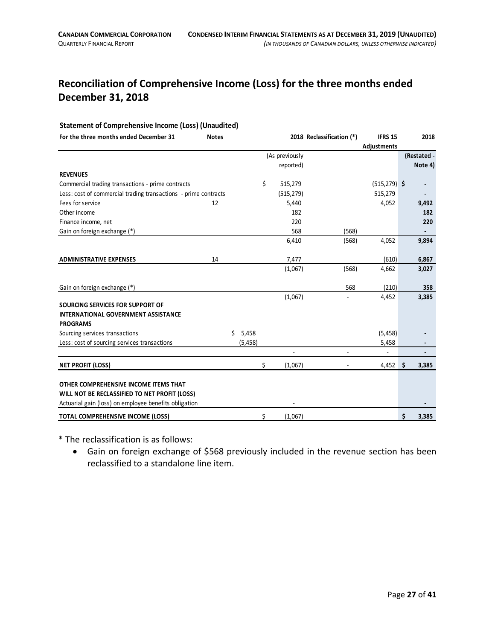# **Reconciliation of Comprehensive Income (Loss) for the three months ended December 31, 2018**

#### **Statement of Comprehensive Income (Loss) (Unaudited)**

| For the three months ended December 31                          | <b>Notes</b> |             |                | 2018 Reclassification (*) | <b>IFRS 15</b>  | 2018        |
|-----------------------------------------------------------------|--------------|-------------|----------------|---------------------------|-----------------|-------------|
|                                                                 |              |             |                |                           | Adjustments     |             |
|                                                                 |              |             | (As previously |                           |                 | (Restated - |
|                                                                 |              |             | reported)      |                           |                 | Note 4)     |
| <b>REVENUES</b>                                                 |              |             |                |                           |                 |             |
| Commercial trading transactions - prime contracts               |              |             | \$<br>515,279  |                           | $(515, 279)$ \$ |             |
| Less: cost of commercial trading transactions - prime contracts |              |             | (515, 279)     |                           | 515,279         |             |
| Fees for service                                                | 12           |             | 5,440          |                           | 4,052           | 9,492       |
| Other income                                                    |              |             | 182            |                           |                 | 182         |
| Finance income, net                                             |              |             | 220            |                           |                 | 220         |
| Gain on foreign exchange (*)                                    |              |             | 568            | (568)                     |                 |             |
|                                                                 |              |             | 6,410          | (568)                     | 4,052           | 9,894       |
|                                                                 |              |             |                |                           |                 |             |
| <b>ADMINISTRATIVE EXPENSES</b>                                  | 14           |             | 7,477          |                           | (610)           | 6,867       |
|                                                                 |              |             | (1,067)        | (568)                     | 4,662           | 3,027       |
|                                                                 |              |             |                |                           |                 |             |
| Gain on foreign exchange (*)                                    |              |             |                | 568                       | (210)           | 358         |
|                                                                 |              |             | (1,067)        |                           | 4,452           | 3,385       |
| SOURCING SERVICES FOR SUPPORT OF                                |              |             |                |                           |                 |             |
| <b>INTERNATIONAL GOVERNMENT ASSISTANCE</b>                      |              |             |                |                           |                 |             |
| <b>PROGRAMS</b>                                                 |              |             |                |                           |                 |             |
| Sourcing services transactions                                  |              | 5,458<br>Ś. |                |                           | (5, 458)        |             |
| Less: cost of sourcing services transactions                    |              | (5, 458)    |                |                           | 5,458           |             |
|                                                                 |              |             |                |                           | $\overline{a}$  |             |
| <b>NET PROFIT (LOSS)</b>                                        |              |             | \$<br>(1,067)  |                           | $4,452$ \$      | 3,385       |
|                                                                 |              |             |                |                           |                 |             |
| OTHER COMPREHENSIVE INCOME ITEMS THAT                           |              |             |                |                           |                 |             |
| WILL NOT BE RECLASSIFIED TO NET PROFIT (LOSS)                   |              |             |                |                           |                 |             |
| Actuarial gain (loss) on employee benefits obligation           |              |             |                |                           |                 |             |
| <b>TOTAL COMPREHENSIVE INCOME (LOSS)</b>                        |              |             | \$<br>(1,067)  |                           |                 | \$<br>3,385 |

\* The reclassification is as follows:

• Gain on foreign exchange of \$568 previously included in the revenue section has been reclassified to a standalone line item.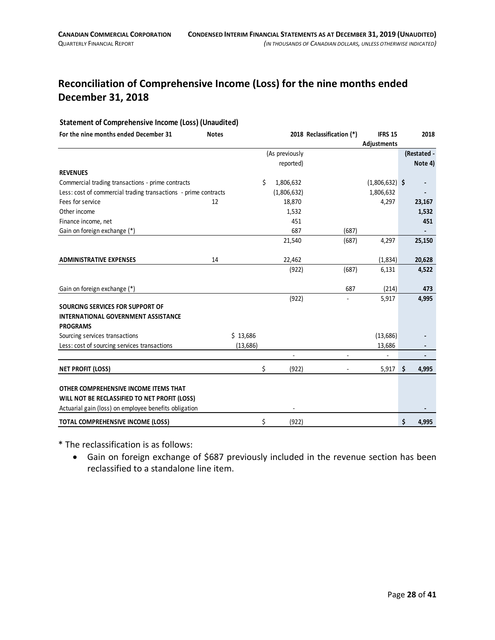# **Reconciliation of Comprehensive Income (Loss) for the nine months ended December 31, 2018**

#### **Statement of Comprehensive Income (Loss) (Unaudited)**

| For the nine months ended December 31                           | <b>Notes</b> |          |    |                | 2018 Reclassification (*) | <b>IFRS 15</b>   | 2018        |
|-----------------------------------------------------------------|--------------|----------|----|----------------|---------------------------|------------------|-------------|
|                                                                 |              |          |    |                |                           | Adjustments      |             |
|                                                                 |              |          |    | (As previously |                           |                  | (Restated - |
|                                                                 |              |          |    | reported)      |                           |                  | Note 4)     |
| <b>REVENUES</b>                                                 |              |          |    |                |                           |                  |             |
| Commercial trading transactions - prime contracts               |              |          | Ś. | 1,806,632      |                           | $(1,806,632)$ \$ |             |
| Less: cost of commercial trading transactions - prime contracts |              |          |    | (1,806,632)    |                           | 1,806,632        |             |
| Fees for service                                                | 12           |          |    | 18,870         |                           | 4,297            | 23,167      |
| Other income                                                    |              |          |    | 1,532          |                           |                  | 1,532       |
| Finance income, net                                             |              |          |    | 451            |                           |                  | 451         |
| Gain on foreign exchange (*)                                    |              |          |    | 687            | (687)                     |                  |             |
|                                                                 |              |          |    | 21,540         | (687)                     | 4,297            | 25,150      |
|                                                                 |              |          |    |                |                           |                  |             |
| <b>ADMINISTRATIVE EXPENSES</b>                                  | 14           |          |    | 22,462         |                           | (1,834)          | 20,628      |
|                                                                 |              |          |    | (922)          | (687)                     | 6,131            | 4,522       |
|                                                                 |              |          |    |                |                           |                  |             |
| Gain on foreign exchange (*)                                    |              |          |    |                | 687                       | (214)            | 473         |
|                                                                 |              |          |    | (922)          |                           | 5,917            | 4,995       |
| SOURCING SERVICES FOR SUPPORT OF                                |              |          |    |                |                           |                  |             |
| <b>INTERNATIONAL GOVERNMENT ASSISTANCE</b>                      |              |          |    |                |                           |                  |             |
| <b>PROGRAMS</b>                                                 |              |          |    |                |                           |                  |             |
| Sourcing services transactions                                  |              | \$13,686 |    |                |                           | (13, 686)        |             |
| Less: cost of sourcing services transactions                    |              | (13,686) |    |                |                           | 13,686           |             |
|                                                                 |              |          |    |                |                           |                  |             |
| <b>NET PROFIT (LOSS)</b>                                        |              |          | \$ | (922)          |                           | 5,917            | \$<br>4,995 |
|                                                                 |              |          |    |                |                           |                  |             |
| OTHER COMPREHENSIVE INCOME ITEMS THAT                           |              |          |    |                |                           |                  |             |
| WILL NOT BE RECLASSIFIED TO NET PROFIT (LOSS)                   |              |          |    |                |                           |                  |             |
| Actuarial gain (loss) on employee benefits obligation           |              |          |    |                |                           |                  |             |
| <b>TOTAL COMPREHENSIVE INCOME (LOSS)</b>                        |              |          | \$ | (922)          |                           |                  | \$<br>4,995 |

\* The reclassification is as follows:

• Gain on foreign exchange of \$687 previously included in the revenue section has been reclassified to a standalone line item.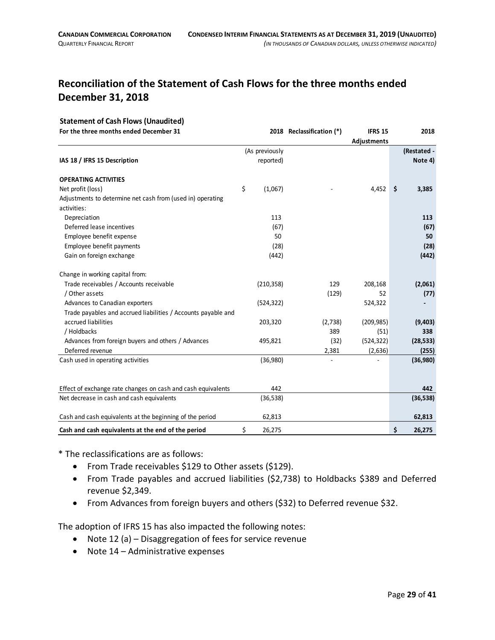# **Reconciliation of the Statement of Cash Flows for the three months ended December 31, 2018**

#### **Statement of Cash Flows (Unaudited)**

| For the three months ended December 31                        |                | 2018 Reclassification (*) | <b>IFRS 15</b> | 2018         |
|---------------------------------------------------------------|----------------|---------------------------|----------------|--------------|
|                                                               |                |                           | Adjustments    |              |
|                                                               | (As previously |                           |                | (Restated -  |
| IAS 18 / IFRS 15 Description                                  | reported)      |                           |                | Note 4)      |
| <b>OPERATING ACTIVITIES</b>                                   |                |                           |                |              |
| Net profit (loss)                                             | \$<br>(1,067)  |                           | 4,452          | \$<br>3,385  |
| Adjustments to determine net cash from (used in) operating    |                |                           |                |              |
| activities:                                                   |                |                           |                |              |
| Depreciation                                                  | 113            |                           |                | 113          |
| Deferred lease incentives                                     | (67)           |                           |                | (67)         |
| Employee benefit expense                                      | 50             |                           |                | 50           |
| Employee benefit payments                                     | (28)           |                           |                | (28)         |
| Gain on foreign exchange                                      | (442)          |                           |                | (442)        |
| Change in working capital from:                               |                |                           |                |              |
| Trade receivables / Accounts receivable                       | (210, 358)     | 129                       | 208,168        | (2,061)      |
| / Other assets                                                |                | (129)                     | 52             | (77)         |
| Advances to Canadian exporters                                | (524, 322)     |                           | 524,322        |              |
| Trade payables and accrued liabilities / Accounts payable and |                |                           |                |              |
| accrued liabilities                                           | 203,320        | (2,738)                   | (209, 985)     | (9,403)      |
| / Holdbacks                                                   |                | 389                       | (51)           | 338          |
| Advances from foreign buyers and others / Advances            | 495,821        | (32)                      | (524, 322)     | (28, 533)    |
| Deferred revenue                                              |                | 2,381                     | (2,636)        | (255)        |
| Cash used in operating activities                             | (36,980)       |                           |                | (36,980)     |
|                                                               |                |                           |                |              |
| Effect of exchange rate changes on cash and cash equivalents  | 442            |                           |                | 442          |
| Net decrease in cash and cash equivalents                     | (36, 538)      |                           |                | (36, 538)    |
| Cash and cash equivalents at the beginning of the period      | 62,813         |                           |                | 62,813       |
| Cash and cash equivalents at the end of the period            | \$<br>26,275   |                           |                | \$<br>26,275 |

\* The reclassifications are as follows:

- From Trade receivables \$129 to Other assets (\$129).
- From Trade payables and accrued liabilities (\$2,738) to Holdbacks \$389 and Deferred revenue \$2,349.
- From Advances from foreign buyers and others (\$32) to Deferred revenue \$32.

The adoption of IFRS 15 has also impacted the following notes:

- Note 12 (a) Disaggregation of fees for service revenue
- Note 14 Administrative expenses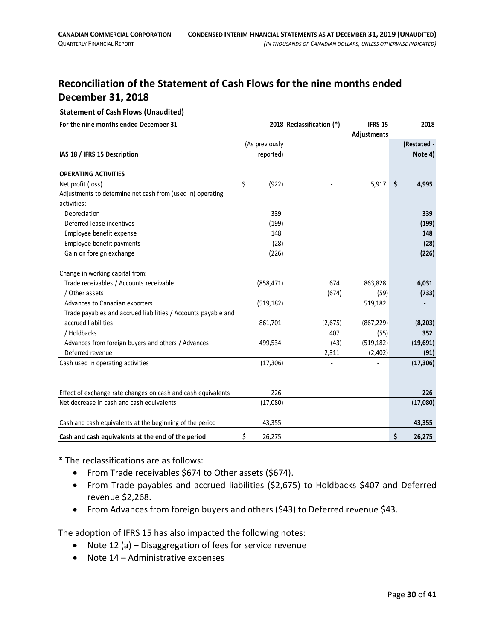# **Reconciliation of the Statement of Cash Flows for the nine months ended December 31, 2018**

#### **Statement of Cash Flows (Unaudited)**

| For the nine months ended December 31                         |                | 2018 Reclassification (*) | <b>IFRS 15</b><br>Adjustments | 2018         |
|---------------------------------------------------------------|----------------|---------------------------|-------------------------------|--------------|
|                                                               | (As previously |                           |                               | (Restated -  |
| IAS 18 / IFRS 15 Description                                  | reported)      |                           |                               | Note 4)      |
| <b>OPERATING ACTIVITIES</b>                                   |                |                           |                               |              |
| Net profit (loss)                                             | \$<br>(922)    |                           | 5,917                         | \$<br>4,995  |
| Adjustments to determine net cash from (used in) operating    |                |                           |                               |              |
| activities:                                                   |                |                           |                               |              |
| Depreciation                                                  | 339            |                           |                               | 339          |
| Deferred lease incentives                                     | (199)          |                           |                               | (199)        |
| Employee benefit expense                                      | 148            |                           |                               | 148          |
| Employee benefit payments                                     | (28)           |                           |                               | (28)         |
| Gain on foreign exchange                                      | (226)          |                           |                               | (226)        |
| Change in working capital from:                               |                |                           |                               |              |
| Trade receivables / Accounts receivable                       | (858, 471)     | 674                       | 863,828                       | 6,031        |
| / Other assets                                                |                | (674)                     | (59)                          | (733)        |
| Advances to Canadian exporters                                | (519, 182)     |                           | 519,182                       |              |
| Trade payables and accrued liabilities / Accounts payable and |                |                           |                               |              |
| accrued liabilities                                           | 861,701        | (2,675)                   | (867, 229)                    | (8, 203)     |
| / Holdbacks                                                   |                | 407                       | (55)                          | 352          |
| Advances from foreign buyers and others / Advances            | 499,534        | (43)                      | (519, 182)                    | (19,691)     |
| Deferred revenue                                              |                | 2,311                     | (2,402)                       | (91)         |
| Cash used in operating activities                             | (17, 306)      |                           |                               | (17, 306)    |
|                                                               |                |                           |                               |              |
| Effect of exchange rate changes on cash and cash equivalents  | 226            |                           |                               | 226          |
| Net decrease in cash and cash equivalents                     | (17,080)       |                           |                               | (17,080)     |
| Cash and cash equivalents at the beginning of the period      | 43,355         |                           |                               | 43,355       |
| Cash and cash equivalents at the end of the period            | \$<br>26,275   |                           |                               | \$<br>26,275 |

\* The reclassifications are as follows:

- From Trade receivables \$674 to Other assets (\$674).
- From Trade payables and accrued liabilities (\$2,675) to Holdbacks \$407 and Deferred revenue \$2,268.
- From Advances from foreign buyers and others (\$43) to Deferred revenue \$43.

The adoption of IFRS 15 has also impacted the following notes:

- Note 12 (a) Disaggregation of fees for service revenue
- Note 14 Administrative expenses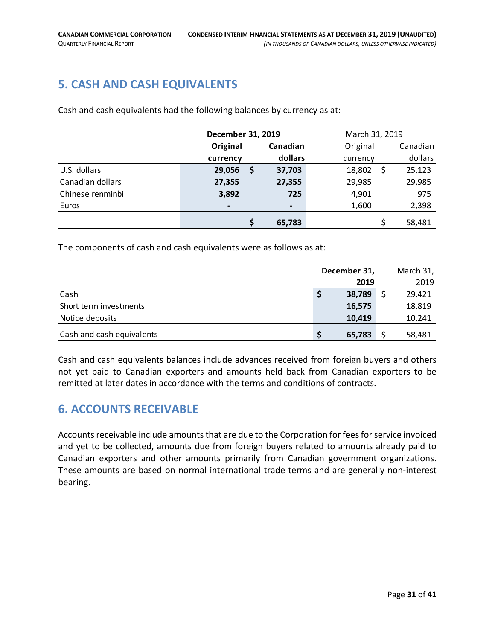# <span id="page-30-0"></span>**5. CASH AND CASH EQUIVALENTS**

Cash and cash equivalents had the following balances by currency as at:

|                  | December 31, 2019 |     |                                                                                                                                                              | March 31, 2019 |    |          |
|------------------|-------------------|-----|--------------------------------------------------------------------------------------------------------------------------------------------------------------|----------------|----|----------|
|                  | Original          |     | Canadian                                                                                                                                                     | Original       |    | Canadian |
|                  | currency          |     | dollars                                                                                                                                                      | currency       |    | dollars  |
| U.S. dollars     | 29,056            | \$. | 37,703                                                                                                                                                       | 18,802         | \$ | 25,123   |
| Canadian dollars | 27,355            |     | 27,355                                                                                                                                                       | 29,985         |    | 29,985   |
| Chinese renminbi | 3,892             |     | 725                                                                                                                                                          | 4,901          |    | 975      |
| Euros            | $\qquad \qquad$   |     | $\hskip1.6pt\hskip1.6pt\hskip1.6pt\hskip1.6pt\hskip1.6pt\hskip1.6pt\hskip1.6pt\hskip1.6pt\hskip1.6pt\hskip1.6pt\hskip1.6pt\hskip1.6pt\hskip1.6pt\hskip1.6pt$ | 1,600          |    | 2,398    |
|                  |                   | \$  | 65,783                                                                                                                                                       |                |    | 58,481   |

The components of cash and cash equivalents were as follows as at:

|                           | December 31, |        |    | March 31, |
|---------------------------|--------------|--------|----|-----------|
|                           |              | 2019   |    | 2019      |
| Cash                      | S            | 38,789 | \$ | 29,421    |
| Short term investments    |              | 16,575 |    | 18,819    |
| Notice deposits           |              | 10,419 |    | 10,241    |
| Cash and cash equivalents |              | 65,783 |    | 58,481    |

Cash and cash equivalents balances include advances received from foreign buyers and others not yet paid to Canadian exporters and amounts held back from Canadian exporters to be remitted at later dates in accordance with the terms and conditions of contracts.

# <span id="page-30-1"></span>**6. ACCOUNTS RECEIVABLE**

Accounts receivable include amounts that are due to the Corporation for fees for service invoiced and yet to be collected, amounts due from foreign buyers related to amounts already paid to Canadian exporters and other amounts primarily from Canadian government organizations. These amounts are based on normal international trade terms and are generally non-interest bearing.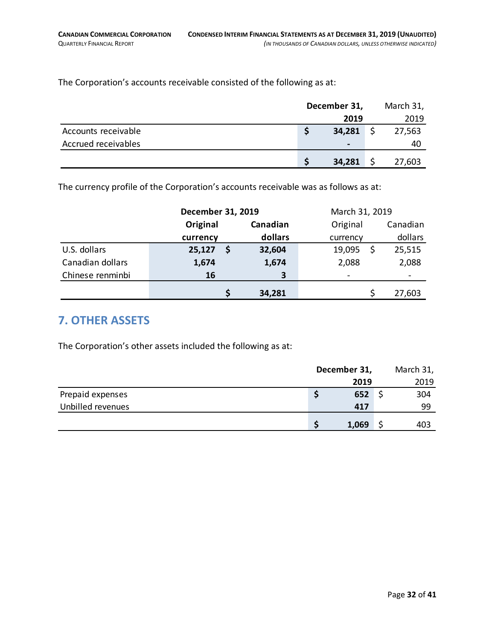The Corporation's accounts receivable consisted of the following as at:

|                     | December 31, |                | March 31, |        |
|---------------------|--------------|----------------|-----------|--------|
|                     |              | 2019           |           | 2019   |
| Accounts receivable |              | 34,281         |           | 27,563 |
| Accrued receivables |              | $\blacksquare$ |           | 40     |
|                     |              | 34,281         |           | 27,603 |

The currency profile of the Corporation's accounts receivable was as follows as at:

|                  | December 31, 2019 |   | March 31, 2019 |          |  |          |
|------------------|-------------------|---|----------------|----------|--|----------|
|                  | Original          |   | Canadian       | Original |  | Canadian |
|                  | currency          |   | dollars        | currency |  | dollars  |
| U.S. dollars     | 25,127            |   | 32,604         | 19,095   |  | 25,515   |
| Canadian dollars | 1,674             |   | 1,674          | 2,088    |  | 2,088    |
| Chinese renminbi | 16                |   | 3              |          |  |          |
|                  |                   | S | 34,281         |          |  | 27,603   |

### <span id="page-31-0"></span>**7. OTHER ASSETS**

The Corporation's other assets included the following as at:

<span id="page-31-1"></span>

|                   | December 31, |       | March 31, |      |
|-------------------|--------------|-------|-----------|------|
|                   |              | 2019  |           | 2019 |
| Prepaid expenses  |              | 652   |           | 304  |
| Unbilled revenues |              | 417   |           | 99   |
|                   |              | 1,069 |           | 403  |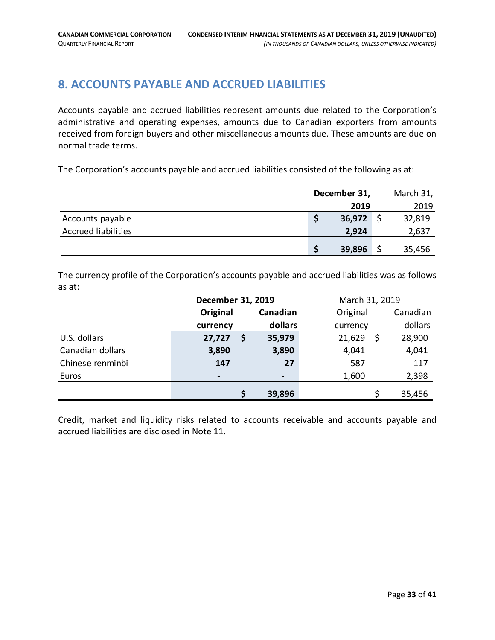# **8. ACCOUNTS PAYABLE AND ACCRUED LIABILITIES**

Accounts payable and accrued liabilities represent amounts due related to the Corporation's administrative and operating expenses, amounts due to Canadian exporters from amounts received from foreign buyers and other miscellaneous amounts due. These amounts are due on normal trade terms.

The Corporation's accounts payable and accrued liabilities consisted of the following as at:

|                            | December 31, |     | March 31, |  |
|----------------------------|--------------|-----|-----------|--|
|                            | 2019         |     | 2019      |  |
| Accounts payable           | 36,972       | ∣S. | 32,819    |  |
| <b>Accrued liabilities</b> | 2,924        |     | 2,637     |  |
|                            | 39,896       |     | 35,456    |  |

The currency profile of the Corporation's accounts payable and accrued liabilities was as follows as at:

|                  | December 31, 2019 |  |                | March 31, 2019 |   |          |
|------------------|-------------------|--|----------------|----------------|---|----------|
|                  | Original          |  | Canadian       | Original       |   | Canadian |
|                  | currency          |  | dollars        | currency       |   | dollars  |
| U.S. dollars     | 27,727            |  | 35,979         | 21,629         | S | 28,900   |
| Canadian dollars | 3,890             |  | 3,890          | 4,041          |   | 4,041    |
| Chinese renminbi | 147               |  | 27             | 587            |   | 117      |
| Euros            | -                 |  | $\blacksquare$ | 1,600          |   | 2,398    |
|                  |                   |  | 39,896         |                |   | 35,456   |

Credit, market and liquidity risks related to accounts receivable and accounts payable and accrued liabilities are disclosed in Note 11.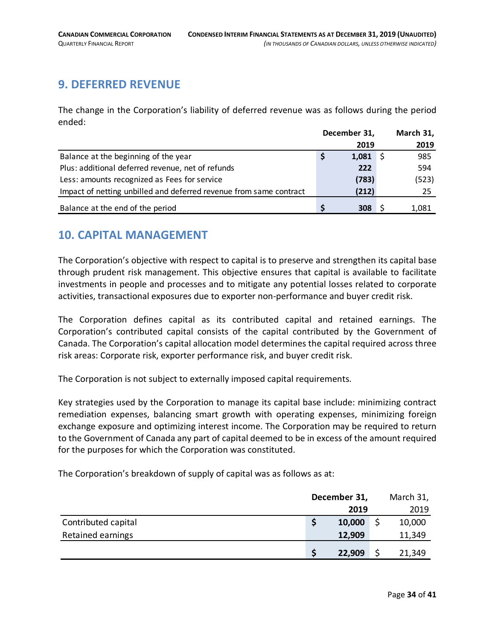# <span id="page-33-0"></span>**9. DEFERRED REVENUE**

The change in the Corporation's liability of deferred revenue was as follows during the period ended:

|                                                                    | December 31, |       | March 31, |       |
|--------------------------------------------------------------------|--------------|-------|-----------|-------|
|                                                                    |              | 2019  |           | 2019  |
| Balance at the beginning of the year                               |              | 1,081 |           | 985   |
| Plus: additional deferred revenue, net of refunds                  |              | 222   |           | 594   |
| Less: amounts recognized as Fees for service                       |              | (783) |           | (523) |
| Impact of netting unbilled and deferred revenue from same contract |              | (212) |           | 25    |
| Balance at the end of the period                                   |              | 308   |           | 1,081 |

### <span id="page-33-1"></span>**10. CAPITAL MANAGEMENT**

The Corporation's objective with respect to capital is to preserve and strengthen its capital base through prudent risk management. This objective ensures that capital is available to facilitate investments in people and processes and to mitigate any potential losses related to corporate activities, transactional exposures due to exporter non-performance and buyer credit risk.

The Corporation defines capital as its contributed capital and retained earnings. The Corporation's contributed capital consists of the capital contributed by the Government of Canada. The Corporation's capital allocation model determines the capital required across three risk areas: Corporate risk, exporter performance risk, and buyer credit risk.

The Corporation is not subject to externally imposed capital requirements.

Key strategies used by the Corporation to manage its capital base include: minimizing contract remediation expenses, balancing smart growth with operating expenses, minimizing foreign exchange exposure and optimizing interest income. The Corporation may be required to return to the Government of Canada any part of capital deemed to be in excess of the amount required for the purposes for which the Corporation was constituted.

The Corporation's breakdown of supply of capital was as follows as at:

|                          | December 31, |        | March 31, |  |
|--------------------------|--------------|--------|-----------|--|
|                          |              | 2019   | 2019      |  |
| Contributed capital      |              | 10,000 | 10,000    |  |
| <b>Retained earnings</b> |              | 12,909 | 11,349    |  |
|                          |              | 22,909 | 21,349    |  |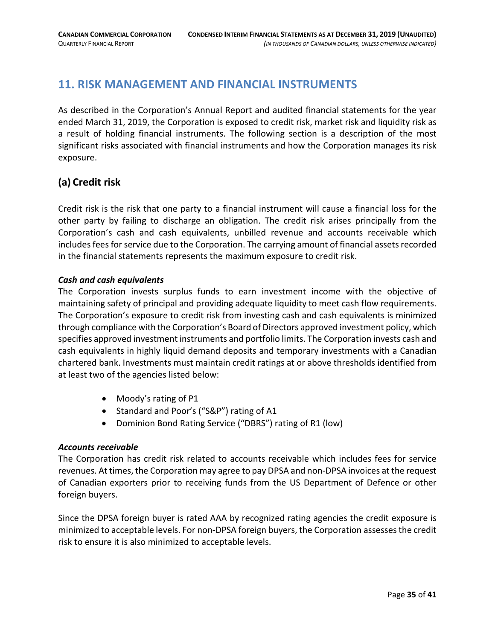# <span id="page-34-0"></span>**11. RISK MANAGEMENT AND FINANCIAL INSTRUMENTS**

As described in the Corporation's Annual Report and audited financial statements for the year ended March 31, 2019, the Corporation is exposed to credit risk, market risk and liquidity risk as a result of holding financial instruments. The following section is a description of the most significant risks associated with financial instruments and how the Corporation manages its risk exposure.

### **(a) Credit risk**

Credit risk is the risk that one party to a financial instrument will cause a financial loss for the other party by failing to discharge an obligation. The credit risk arises principally from the Corporation's cash and cash equivalents, unbilled revenue and accounts receivable which includes fees for service due to the Corporation. The carrying amount of financial assets recorded in the financial statements represents the maximum exposure to credit risk.

#### *Cash and cash equivalents*

The Corporation invests surplus funds to earn investment income with the objective of maintaining safety of principal and providing adequate liquidity to meet cash flow requirements. The Corporation's exposure to credit risk from investing cash and cash equivalents is minimized through compliance with the Corporation's Board of Directors approved investment policy, which specifies approved investment instruments and portfolio limits. The Corporation invests cash and cash equivalents in highly liquid demand deposits and temporary investments with a Canadian chartered bank. Investments must maintain credit ratings at or above thresholds identified from at least two of the agencies listed below:

- Moody's rating of P1
- Standard and Poor's ("S&P") rating of A1
- Dominion Bond Rating Service ("DBRS") rating of R1 (low)

#### *Accounts receivable*

The Corporation has credit risk related to accounts receivable which includes fees for service revenues. At times, the Corporation may agree to pay DPSA and non-DPSA invoices at the request of Canadian exporters prior to receiving funds from the US Department of Defence or other foreign buyers.

Since the DPSA foreign buyer is rated AAA by recognized rating agencies the credit exposure is minimized to acceptable levels. For non-DPSA foreign buyers, the Corporation assesses the credit risk to ensure it is also minimized to acceptable levels.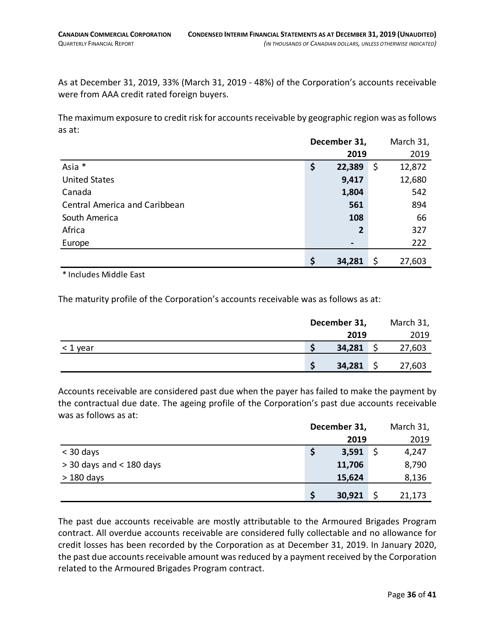As at December 31, 2019, 33% (March 31, 2019 - 48%) of the Corporation's accounts receivable were from AAA credit rated foreign buyers.

The maximum exposure to credit risk for accounts receivable by geographic region was as follows as at:

|                               | December 31, |    | March 31, |
|-------------------------------|--------------|----|-----------|
|                               | 2019         |    | 2019      |
| Asia *                        | \$<br>22,389 | \$ | 12,872    |
| <b>United States</b>          | 9,417        |    | 12,680    |
| Canada                        | 1,804        |    | 542       |
| Central America and Caribbean | 561          |    | 894       |
| South America                 | 108          |    | 66        |
| Africa                        | 2            |    | 327       |
| Europe                        |              |    | 222       |
|                               | \$<br>34,281 | \$ | 27,603    |

\* Includes Middle East

The maturity profile of the Corporation's accounts receivable was as follows as at:

|          |        | December 31, |        |  |
|----------|--------|--------------|--------|--|
|          | 2019   |              | 2019   |  |
| < 1 year | 34,281 |              | 27,603 |  |
|          | 34,281 |              | 27,603 |  |

Accounts receivable are considered past due when the payer has failed to make the payment by the contractual due date. The ageing profile of the Corporation's past due accounts receivable was as follows as at:

|                            |   | December 31, |  | March 31, |  |
|----------------------------|---|--------------|--|-----------|--|
|                            |   | 2019         |  | 2019      |  |
| $<$ 30 days                |   | 3,591        |  | 4,247     |  |
| $>$ 30 days and < 180 days |   | 11,706       |  | 8,790     |  |
| $>180$ days                |   | 15,624       |  | 8,136     |  |
|                            | S | 30,921       |  | 21,173    |  |

The past due accounts receivable are mostly attributable to the Armoured Brigades Program contract. All overdue accounts receivable are considered fully collectable and no allowance for credit losses has been recorded by the Corporation as at December 31, 2019. In January 2020, the past due accounts receivable amount was reduced by a payment received by the Corporation related to the Armoured Brigades Program contract.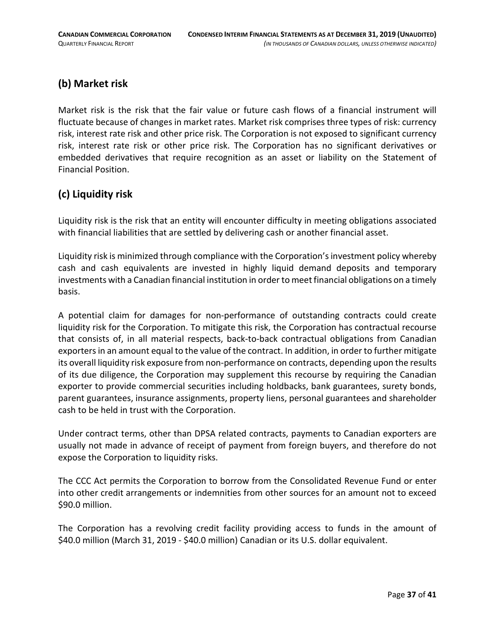# **(b) Market risk**

Market risk is the risk that the fair value or future cash flows of a financial instrument will fluctuate because of changes in market rates. Market risk comprises three types of risk: currency risk, interest rate risk and other price risk. The Corporation is not exposed to significant currency risk, interest rate risk or other price risk. The Corporation has no significant derivatives or embedded derivatives that require recognition as an asset or liability on the Statement of Financial Position.

### **(c) Liquidity risk**

Liquidity risk is the risk that an entity will encounter difficulty in meeting obligations associated with financial liabilities that are settled by delivering cash or another financial asset.

Liquidity risk is minimized through compliance with the Corporation's investment policy whereby cash and cash equivalents are invested in highly liquid demand deposits and temporary investments with a Canadian financial institution in order to meet financial obligations on a timely basis.

A potential claim for damages for non-performance of outstanding contracts could create liquidity risk for the Corporation. To mitigate this risk, the Corporation has contractual recourse that consists of, in all material respects, back-to-back contractual obligations from Canadian exporters in an amount equal to the value of the contract. In addition, in order to further mitigate its overall liquidity risk exposure from non-performance on contracts, depending upon the results of its due diligence, the Corporation may supplement this recourse by requiring the Canadian exporter to provide commercial securities including holdbacks, bank guarantees, surety bonds, parent guarantees, insurance assignments, property liens, personal guarantees and shareholder cash to be held in trust with the Corporation.

Under contract terms, other than DPSA related contracts, payments to Canadian exporters are usually not made in advance of receipt of payment from foreign buyers, and therefore do not expose the Corporation to liquidity risks.

The CCC Act permits the Corporation to borrow from the Consolidated Revenue Fund or enter into other credit arrangements or indemnities from other sources for an amount not to exceed \$90.0 million.

The Corporation has a revolving credit facility providing access to funds in the amount of \$40.0 million (March 31, 2019 - \$40.0 million) Canadian or its U.S. dollar equivalent.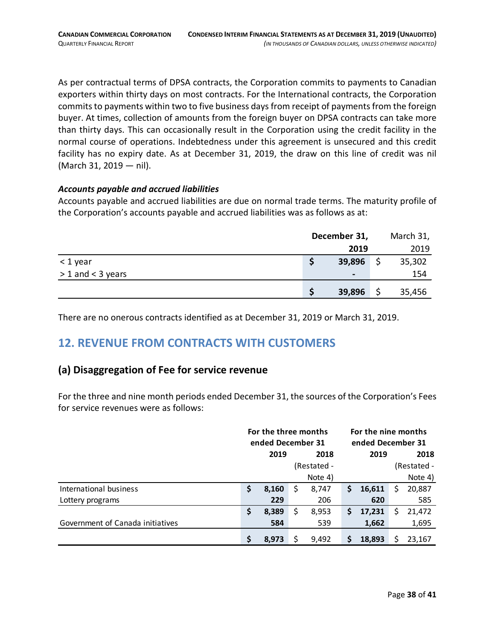As per contractual terms of DPSA contracts, the Corporation commits to payments to Canadian exporters within thirty days on most contracts. For the International contracts, the Corporation commits to payments within two to five business days from receipt of payments from the foreign buyer. At times, collection of amounts from the foreign buyer on DPSA contracts can take more than thirty days. This can occasionally result in the Corporation using the credit facility in the normal course of operations. Indebtedness under this agreement is unsecured and this credit facility has no expiry date. As at December 31, 2019, the draw on this line of credit was nil (March 31, 2019 — nil).

#### *Accounts payable and accrued liabilities*

Accounts payable and accrued liabilities are due on normal trade terms. The maturity profile of the Corporation's accounts payable and accrued liabilities was as follows as at:

|                     |      | December 31,    | March 31, |        |  |
|---------------------|------|-----------------|-----------|--------|--|
|                     | 2019 |                 |           | 2019   |  |
| $<$ 1 year          |      | 39,896          |           | 35,302 |  |
| $> 1$ and < 3 years |      | $\qquad \qquad$ |           | 154    |  |
|                     |      | 39,896          |           | 35,456 |  |

There are no onerous contracts identified as at December 31, 2019 or March 31, 2019.

# <span id="page-37-0"></span>**12. REVENUE FROM CONTRACTS WITH CUSTOMERS**

#### **(a) Disaggregation of Fee for service revenue**

For the three and nine month periods ended December 31, the sources of the Corporation's Fees for service revenues were as follows:

|                                  | For the three months<br>ended December 31 |       |   | For the nine months |                   |        |   |             |
|----------------------------------|-------------------------------------------|-------|---|---------------------|-------------------|--------|---|-------------|
|                                  |                                           |       |   |                     | ended December 31 |        |   |             |
|                                  |                                           | 2019  |   | 2018                | 2019              |        |   | 2018        |
|                                  |                                           |       |   | (Restated -         |                   |        |   | (Restated - |
|                                  |                                           |       |   | Note 4)             |                   |        |   | Note 4)     |
| International business           | \$                                        | 8,160 | S | 8,747               | \$                | 16,611 | S | 20,887      |
| Lottery programs                 |                                           | 229   |   | 206                 |                   | 620    |   | 585         |
|                                  | \$                                        | 8,389 | S | 8,953               | S                 | 17,231 | S | 21,472      |
| Government of Canada initiatives |                                           | 584   |   | 539                 |                   | 1,662  |   | 1,695       |
|                                  | \$                                        | 8.973 |   | 9,492               | Ś                 | 18.893 |   | 23.167      |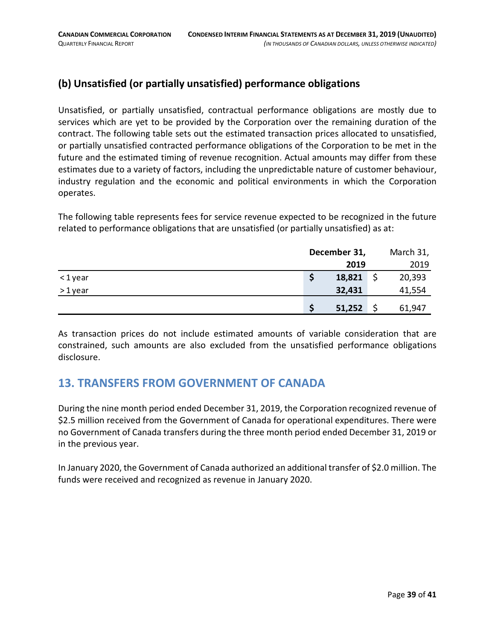# **(b) Unsatisfied (or partially unsatisfied) performance obligations**

Unsatisfied, or partially unsatisfied, contractual performance obligations are mostly due to services which are yet to be provided by the Corporation over the remaining duration of the contract. The following table sets out the estimated transaction prices allocated to unsatisfied, or partially unsatisfied contracted performance obligations of the Corporation to be met in the future and the estimated timing of revenue recognition. Actual amounts may differ from these estimates due to a variety of factors, including the unpredictable nature of customer behaviour, industry regulation and the economic and political environments in which the Corporation operates.

The following table represents fees for service revenue expected to be recognized in the future related to performance obligations that are unsatisfied (or partially unsatisfied) as at:

|        |        | December 31, |        |  |  |
|--------|--------|--------------|--------|--|--|
|        |        | 2019         |        |  |  |
| <1year | 18,821 |              | 20,393 |  |  |
| >1year | 32,431 |              | 41,554 |  |  |
|        | 51,252 |              | 61,947 |  |  |

As transaction prices do not include estimated amounts of variable consideration that are constrained, such amounts are also excluded from the unsatisfied performance obligations disclosure.

# <span id="page-38-0"></span>**13. TRANSFERS FROM GOVERNMENT OF CANADA**

During the nine month period ended December 31, 2019, the Corporation recognized revenue of \$2.5 million received from the Government of Canada for operational expenditures. There were no Government of Canada transfers during the three month period ended December 31, 2019 or in the previous year.

In January 2020, the Government of Canada authorized an additional transfer of \$2.0 million. The funds were received and recognized as revenue in January 2020.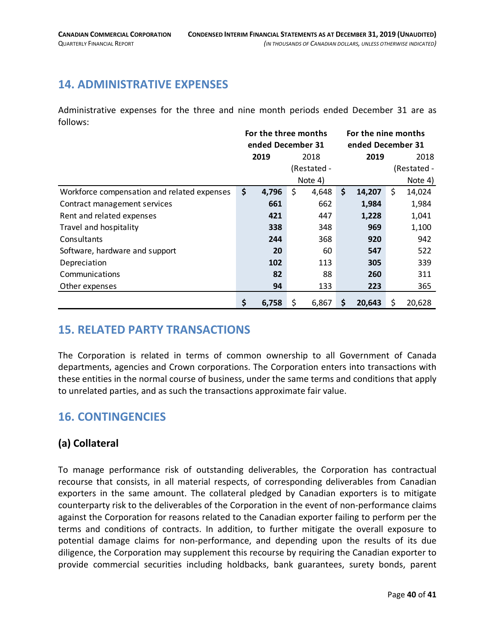# <span id="page-39-0"></span>**14. ADMINISTRATIVE EXPENSES**

Administrative expenses for the three and nine month periods ended December 31 are as follows:

|                                             | For the three months |       |    | For the nine months |    |             |         |        |  |
|---------------------------------------------|----------------------|-------|----|---------------------|----|-------------|---------|--------|--|
|                                             | ended December 31    |       |    | ended December 31   |    |             |         |        |  |
|                                             | 2019                 |       |    | 2018                |    | 2019        |         | 2018   |  |
|                                             | (Restated -          |       |    |                     |    | (Restated - |         |        |  |
|                                             | Note 4)              |       |    |                     |    |             | Note 4) |        |  |
| Workforce compensation and related expenses | \$                   | 4,796 | \$ | 4,648               | \$ | 14,207      | \$      | 14,024 |  |
| Contract management services                |                      | 661   |    | 662                 |    | 1,984       |         | 1,984  |  |
| Rent and related expenses                   |                      | 421   |    | 447                 |    | 1,228       |         | 1,041  |  |
| Travel and hospitality                      |                      | 338   |    | 348                 |    | 969         |         | 1,100  |  |
| Consultants                                 |                      | 244   |    | 368                 |    | 920         |         | 942    |  |
| Software, hardware and support              |                      | 20    |    | 60                  |    | 547         |         | 522    |  |
| Depreciation                                |                      | 102   |    | 113                 |    | 305         |         | 339    |  |
| Communications                              |                      | 82    |    | 88                  |    | 260         |         | 311    |  |
| Other expenses                              |                      | 94    |    | 133                 |    | 223         |         | 365    |  |
|                                             | \$                   | 6,758 | \$ | 6,867               | \$ | 20,643      | \$      | 20,628 |  |

### <span id="page-39-1"></span>**15. RELATED PARTY TRANSACTIONS**

The Corporation is related in terms of common ownership to all Government of Canada departments, agencies and Crown corporations. The Corporation enters into transactions with these entities in the normal course of business, under the same terms and conditions that apply to unrelated parties, and as such the transactions approximate fair value.

# <span id="page-39-2"></span>**16. CONTINGENCIES**

# **(a) Collateral**

To manage performance risk of outstanding deliverables, the Corporation has contractual recourse that consists, in all material respects, of corresponding deliverables from Canadian exporters in the same amount. The collateral pledged by Canadian exporters is to mitigate counterparty risk to the deliverables of the Corporation in the event of non-performance claims against the Corporation for reasons related to the Canadian exporter failing to perform per the terms and conditions of contracts. In addition, to further mitigate the overall exposure to potential damage claims for non-performance, and depending upon the results of its due diligence, the Corporation may supplement this recourse by requiring the Canadian exporter to provide commercial securities including holdbacks, bank guarantees, surety bonds, parent